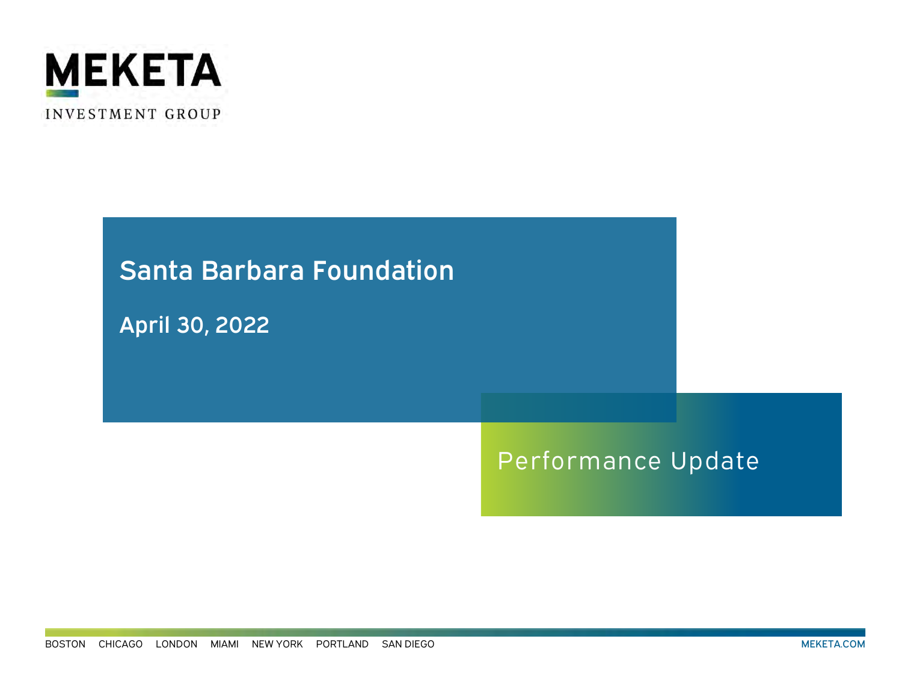

# Performance Update Santa Barbara Foundation April 30, 2022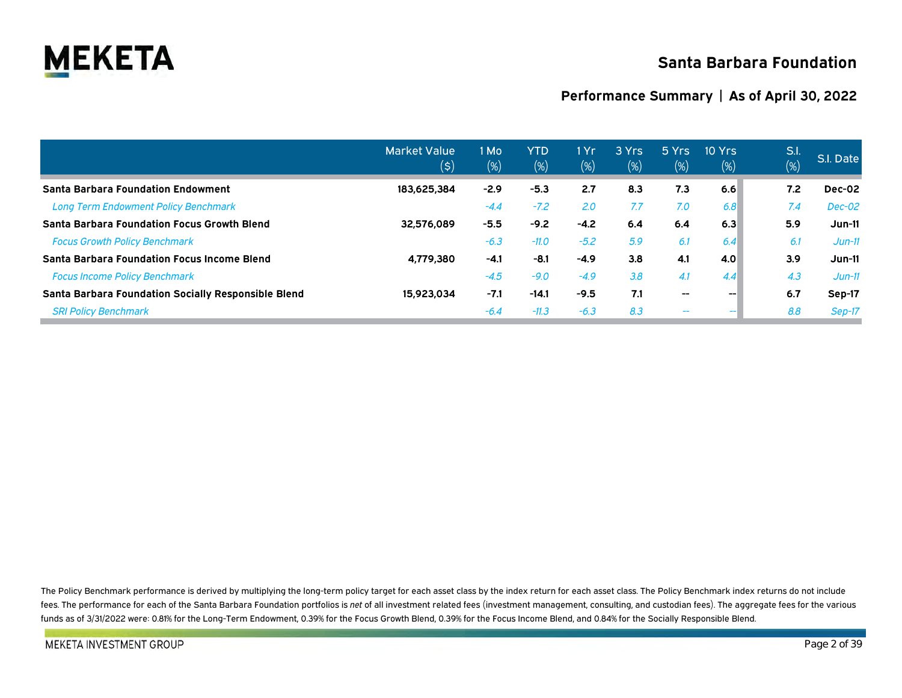

# **Santa Barbara Foundation**

### **Performance Summary | As of April 30, 2022**

|                                                     | <b>Market Value</b><br>(\$) | 1 Mo<br>$(\%)$ | <b>YTD</b><br>(%) | 1 Yr.<br>$(\%)$ | 3 Yrs<br>(%) | 5 Yrs<br>$(\%)$          | 10 Yrs<br>(% ) | S.l.<br>$\overline{(\%)}$ | S.I. Date |
|-----------------------------------------------------|-----------------------------|----------------|-------------------|-----------------|--------------|--------------------------|----------------|---------------------------|-----------|
| <b>Santa Barbara Foundation Endowment</b>           | 183.625.384                 | $-2.9$         | $-5.3$            | 2.7             | 8.3          | 7.3                      | 6.6            | 7.2                       | Dec-02    |
| <b>Long Term Endowment Policy Benchmark</b>         |                             | $-4.4$         | $-7.2$            | 2.0             | 7.7          | 7.0                      | 6.8            | 7.4                       | $Dec-02$  |
| <b>Santa Barbara Foundation Focus Growth Blend</b>  | 32.576.089                  | $-5.5$         | $-9.2$            | $-4.2$          | 6.4          | 6.4                      | 6.3            | 5.9                       | $Jun-11$  |
| <b>Focus Growth Policy Benchmark</b>                |                             | $-6.3$         | $-11.0$           | $-5.2$          | 5.9          | 6.1                      | 6.4            | 6.1                       | $Jun-11$  |
| <b>Santa Barbara Foundation Focus Income Blend</b>  | 4,779,380                   | $-4.1$         | $-8.1$            | $-4.9$          | 3.8          | 4.1                      | 4.0            | 3.9                       | $Jun-11$  |
| <b>Focus Income Policy Benchmark</b>                |                             | $-4.5$         | $-9.0$            | $-4.9$          | 3.8          | 4.1                      | 4.4            | 4.3                       | $Jun-11$  |
| Santa Barbara Foundation Socially Responsible Blend | 15,923,034                  | $-7.1$         | $-14.1$           | $-9.5$          | 7.1          | $\hspace{0.05cm}$        | $- -$          | 6.7                       | Sep-17    |
| <b>SRI Policy Benchmark</b>                         |                             | $-6.4$         | $-11.3$           | $-6.3$          | 8.3          | $\overline{\phantom{m}}$ |                | 8.8                       | Sep-17    |

The Policy Benchmark performance is derived by multiplying the long-term policy target for each asset class by the index return for each asset class. The Policy Benchmark index returns do not include fees. The performance for each of the Santa Barbara Foundation portfolios is net of all investment related fees (investment management, consulting, and custodian fees). The aggregate fees for the various funds as of 3/31/2022 were: 0.81% for the Long-Term Endowment, 0.39% for the Focus Growth Blend, 0.39% for the Focus Income Blend, and 0.84% for the Socially Responsible Blend.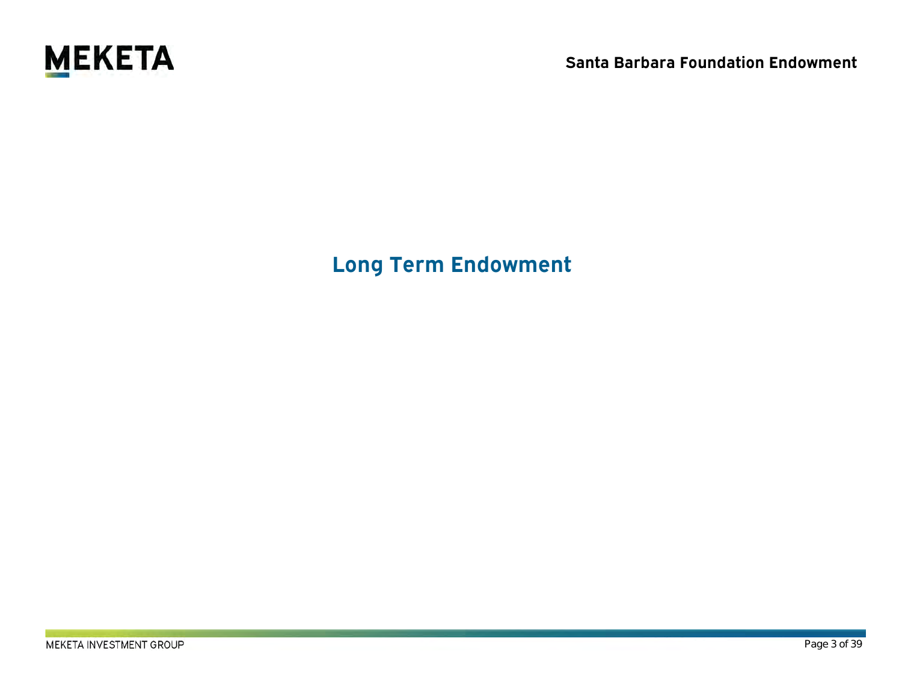

**Long Term Endowment**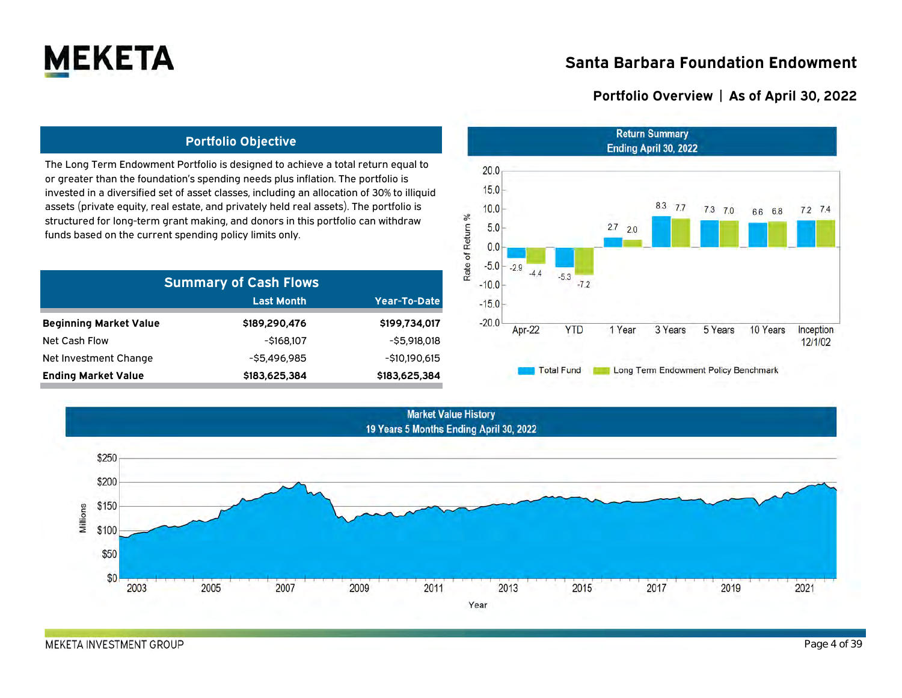

### **Portfolio Overview | As of April 30, 2022**

### **Portfolio Objective**

The Long Term Endowment Portfolio is designed to achieve a total return equal to or greater than the foundation's spending needs plus inflation. The portfolio is invested in a diversified set of asset classes, including an allocation of 30% to illiquid assets (private equity, real estate, and privately held real assets). The portfolio is structured for long-term grant making, and donors in this portfolio can withdraw funds based on the current spending policy limits only.

| <b>Summary of Cash Flows</b>  |                   |                |  |  |  |  |  |  |  |
|-------------------------------|-------------------|----------------|--|--|--|--|--|--|--|
|                               | <b>Last Month</b> | Year-To-Date   |  |  |  |  |  |  |  |
| <b>Beginning Market Value</b> | \$189,290,476     | \$199,734,017  |  |  |  |  |  |  |  |
| <b>Net Cash Flow</b>          | -\$168.107        | $-55.918.018$  |  |  |  |  |  |  |  |
| Net Investment Change         | -\$5.496.985      | $-510.190.615$ |  |  |  |  |  |  |  |
| <b>Ending Market Value</b>    | \$183,625,384     | \$183,625,384  |  |  |  |  |  |  |  |



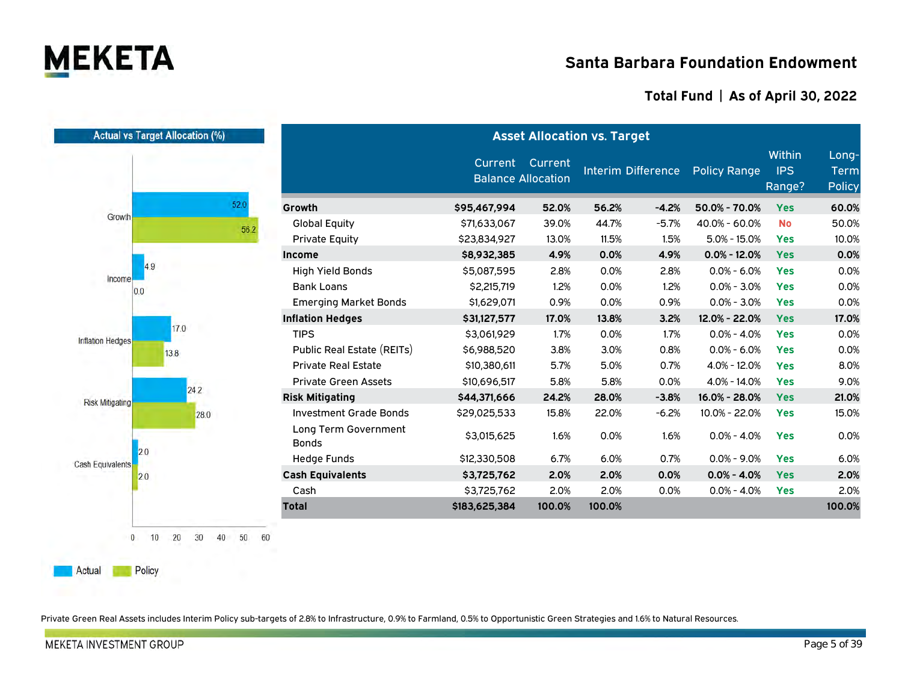

### **Total Fund | As of April 30, 2022**

| <b>Actual vs Target Allocation (%)</b> |                                      | <b>Asset Allocation vs. Target</b>           |        |        |                           |                     |                                       |                                       |  |  |  |
|----------------------------------------|--------------------------------------|----------------------------------------------|--------|--------|---------------------------|---------------------|---------------------------------------|---------------------------------------|--|--|--|
|                                        |                                      | Current Current<br><b>Balance Allocation</b> |        |        | <b>Interim Difference</b> | <b>Policy Range</b> | <b>Within</b><br><b>IPS</b><br>Range? | Long-<br><b>Term</b><br><b>Policy</b> |  |  |  |
| 52.0                                   | Growth                               | \$95,467,994                                 | 52.0%  | 56.2%  | $-4.2%$                   | 50.0% - 70.0%       | <b>Yes</b>                            | 60.0%                                 |  |  |  |
| Growth                                 | <b>Global Equity</b><br>56.2         | \$71,633,067                                 | 39.0%  | 44.7%  | $-5.7%$                   | 40.0% - 60.0%       | <b>No</b>                             | 50.0%                                 |  |  |  |
|                                        | <b>Private Equity</b>                | \$23,834,927                                 | 13.0%  | 11.5%  | 1.5%                      | $5.0\% - 15.0\%$    | <b>Yes</b>                            | 10.0%                                 |  |  |  |
|                                        | Income                               | \$8,932,385                                  | 4.9%   | 0.0%   | 4.9%                      | $0.0\% - 12.0\%$    | <b>Yes</b>                            | 0.0%                                  |  |  |  |
| 49                                     | <b>High Yield Bonds</b>              | \$5,087,595                                  | 2.8%   | 0.0%   | 2.8%                      | $0.0\% - 6.0\%$     | <b>Yes</b>                            | 0.0%                                  |  |  |  |
| Income<br>0.0                          | <b>Bank Loans</b>                    | \$2,215,719                                  | 1.2%   | 0.0%   | 1.2%                      | $0.0\% - 3.0\%$     | <b>Yes</b>                            | 0.0%                                  |  |  |  |
|                                        | <b>Emerging Market Bonds</b>         | \$1,629,071                                  | 0.9%   | 0.0%   | 0.9%                      | $0.0\% - 3.0\%$     | <b>Yes</b>                            | 0.0%                                  |  |  |  |
|                                        | <b>Inflation Hedges</b>              | \$31,127,577                                 | 17.0%  | 13.8%  | 3.2%                      | 12.0% - 22.0%       | <b>Yes</b>                            | 17.0%                                 |  |  |  |
| 17.0                                   | <b>TIPS</b>                          | \$3,061,929                                  | 1.7%   | 0.0%   | 1.7%                      | $0.0\% - 4.0\%$     | <b>Yes</b>                            | 0.0%                                  |  |  |  |
| Inflation Hedges<br>13.8               | Public Real Estate (REITs)           | \$6,988,520                                  | 3.8%   | 3.0%   | 0.8%                      | $0.0\% - 6.0\%$     | <b>Yes</b>                            | 0.0%                                  |  |  |  |
|                                        | <b>Private Real Estate</b>           | \$10,380,611                                 | 5.7%   | 5.0%   | 0.7%                      | $4.0\% - 12.0\%$    | <b>Yes</b>                            | 8.0%                                  |  |  |  |
|                                        | <b>Private Green Assets</b>          | \$10,696,517                                 | 5.8%   | 5.8%   | 0.0%                      | $4.0\% - 14.0\%$    | <b>Yes</b>                            | 9.0%                                  |  |  |  |
| 24.2<br><b>Risk Mitigating</b>         | <b>Risk Mitigating</b>               | \$44,371,666                                 | 24.2%  | 28.0%  | $-3.8%$                   | 16.0% - 28.0%       | <b>Yes</b>                            | 21.0%                                 |  |  |  |
| 28.0                                   | <b>Investment Grade Bonds</b>        | \$29,025,533                                 | 15.8%  | 22.0%  | $-6.2%$                   | 10.0% - 22.0%       | <b>Yes</b>                            | 15.0%                                 |  |  |  |
|                                        | Long Term Government<br><b>Bonds</b> | \$3,015,625                                  | 1.6%   | 0.0%   | 1.6%                      | $0.0\% - 4.0\%$     | <b>Yes</b>                            | 0.0%                                  |  |  |  |
| 2.0<br>Cash Equivalents                | <b>Hedge Funds</b>                   | \$12,330,508                                 | 6.7%   | 6.0%   | 0.7%                      | $0.0\% - 9.0\%$     | <b>Yes</b>                            | 6.0%                                  |  |  |  |
| 2.0                                    | <b>Cash Equivalents</b>              | \$3,725,762                                  | 2.0%   | 2.0%   | 0.0%                      | $0.0\% - 4.0\%$     | <b>Yes</b>                            | 2.0%                                  |  |  |  |
|                                        | Cash                                 | \$3,725,762                                  | 2.0%   | 2.0%   | 0.0%                      | $0.0\% - 4.0\%$     | <b>Yes</b>                            | 2.0%                                  |  |  |  |
|                                        | <b>Total</b>                         | \$183,625,384                                | 100.0% | 100.0% |                           |                     |                                       | 100.0%                                |  |  |  |

Private Green Real Assets includes Interim Policy sub-targets of 2.8% to Infrastructure, 0.9% to Farmland, 0.5% to Opportunistic Green Strategies and 1.6% to Natural Resources.

Actual

Policy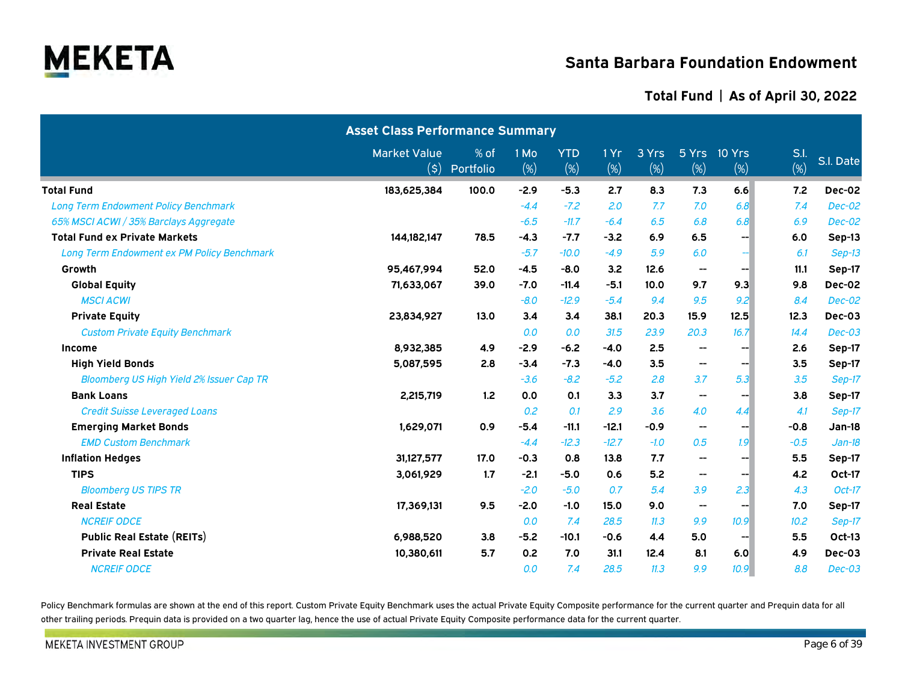

### **Total Fund | As of April 30, 2022**

|                                             | <b>Asset Class Performance Summary</b> |                   |             |                      |             |                 |                          |                        |                |               |
|---------------------------------------------|----------------------------------------|-------------------|-------------|----------------------|-------------|-----------------|--------------------------|------------------------|----------------|---------------|
|                                             | <b>Market Value</b><br>(\$)            | % of<br>Portfolio | 1 Mo<br>(%) | <b>YTD</b><br>$(\%)$ | 1 Yr<br>(%) | 3 Yrs<br>$(\%)$ | (%)                      | 5 Yrs 10 Yrs<br>$(\%)$ | S.l.<br>$(\%)$ | S.I. Date     |
| <b>Total Fund</b>                           | 183,625,384                            | 100.0             | $-2.9$      | $-5.3$               | 2.7         | 8.3             | 7.3                      | 6.6                    | 7.2            | Dec-02        |
| <b>Long Term Endowment Policy Benchmark</b> |                                        |                   | $-4.4$      | $-7.2$               | 2.0         | 7.7             | 7.0                      | 6.8                    | 7.4            | <b>Dec-02</b> |
| 65% MSCI ACWI / 35% Barclays Aggregate      |                                        |                   | $-6.5$      | $-11.7$              | $-6.4$      | 6.5             | 6.8                      | 6.8                    | 6.9            | <b>Dec-02</b> |
| <b>Total Fund ex Private Markets</b>        | 144,182,147                            | 78.5              | $-4.3$      | $-7.7$               | $-3.2$      | 6.9             | 6.5                      | --⊩                    | 6.0            | Sep-13        |
| Long Term Endowment ex PM Policy Benchmark  |                                        |                   | $-5.7$      | $-10.0$              | $-4.9$      | 5.9             | 6.0                      | --1                    | 6.1            | $Sep-13$      |
| Growth                                      | 95,467,994                             | 52.0              | $-4.5$      | $-8.0$               | 3.2         | 12.6            | --                       | --1                    | 11.1           | Sep-17        |
| <b>Global Equity</b>                        | 71,633,067                             | 39.0              | $-7.0$      | $-11.4$              | $-5.1$      | 10.0            | 9.7                      | 9.3                    | 9.8            | Dec-02        |
| <b>MSCI ACWI</b>                            |                                        |                   | $-8.0$      | $-12.9$              | $-5.4$      | 9.4             | 9.5                      | 9.2                    | 8.4            | <b>Dec-02</b> |
| <b>Private Equity</b>                       | 23,834,927                             | 13.0              | 3.4         | 3.4                  | 38.1        | 20.3            | 15.9                     | 12.5                   | 12.3           | Dec-03        |
| <b>Custom Private Equity Benchmark</b>      |                                        |                   | 0.0         | 0.0                  | 31.5        | 23.9            | 20.3                     | 16.7                   | 14.4           | $Dec-03$      |
| <b>Income</b>                               | 8,932,385                              | 4.9               | $-2.9$      | $-6.2$               | $-4.0$      | 2.5             | $\overline{\phantom{a}}$ | --                     | 2.6            | Sep-17        |
| <b>High Yield Bonds</b>                     | 5,087,595                              | 2.8               | $-3.4$      | $-7.3$               | $-4.0$      | 3.5             | --                       | --⊩                    | 3.5            | Sep-17        |
| Bloomberg US High Yield 2% Issuer Cap TR    |                                        |                   | $-3.6$      | $-8.2$               | $-5.2$      | 2.8             | 3.7                      | 5.3                    | 3.5            | Sep-17        |
| <b>Bank Loans</b>                           | 2,215,719                              | 1.2               | 0.0         | 0.1                  | 3.3         | 3.7             | $\overline{\phantom{a}}$ | --                     | 3.8            | Sep-17        |
| <b>Credit Suisse Leveraged Loans</b>        |                                        |                   | 0.2         | 0.1                  | 2.9         | 3.6             | 4.0                      | 4.4                    | 4.1            | Sep-17        |
| <b>Emerging Market Bonds</b>                | 1,629,071                              | 0.9               | $-5.4$      | $-11.1$              | $-12.1$     | $-0.9$          | $\overline{\phantom{a}}$ | --1                    | $-0.8$         | Jan-18        |
| <b>EMD Custom Benchmark</b>                 |                                        |                   | $-4.4$      | $-12.3$              | $-12.7$     | $-1.0$          | 0.5                      | 1.9                    | $-0.5$         | $Jan-18$      |
| <b>Inflation Hedges</b>                     | 31,127,577                             | 17.0              | $-0.3$      | 0.8                  | 13.8        | 7.7             | -−                       | -−∣                    | 5.5            | Sep-17        |
| <b>TIPS</b>                                 | 3,061,929                              | 1.7               | $-2.1$      | $-5.0$               | 0.6         | 5.2             | --                       | --⊩                    | 4.2            | Oct-17        |
| <b>Bloomberg US TIPS TR</b>                 |                                        |                   | $-2.0$      | $-5.0$               | 0.7         | 5.4             | 3.9                      | 2.3                    | 4.3            | $Oct-17$      |
| <b>Real Estate</b>                          | 17,369,131                             | 9.5               | $-2.0$      | $-1.0$               | 15.0        | 9.0             | --                       | −-∣                    | 7.0            | Sep-17        |
| <b>NCREIF ODCE</b>                          |                                        |                   | 0.0         | 7.4                  | 28.5        | 11.3            | 9.9                      | 10.9                   | 10.2           | Sep-17        |
| <b>Public Real Estate (REITs)</b>           | 6,988,520                              | 3.8               | $-5.2$      | $-10.1$              | $-0.6$      | 4.4             | 5.0                      | --                     | 5.5            | Oct-13        |
| <b>Private Real Estate</b>                  | 10,380,611                             | 5.7               | 0.2         | 7.0                  | 31.1        | 12.4            | 8.1                      | 6.0                    | 4.9            | Dec-03        |
| <b>NCREIF ODCE</b>                          |                                        |                   | 0.0         | 7.4                  | 28.5        | 11.3            | 9.9                      | 10.9                   | 8.8            | $Dec-03$      |

Policy Benchmark formulas are shown at the end of this report. Custom Private Equity Benchmark uses the actual Private Equity Composite performance for the current quarter and Prequin data for all other trailing periods. Prequin data is provided on a two quarter lag, hence the use of actual Private Equity Composite performance data for the current quarter.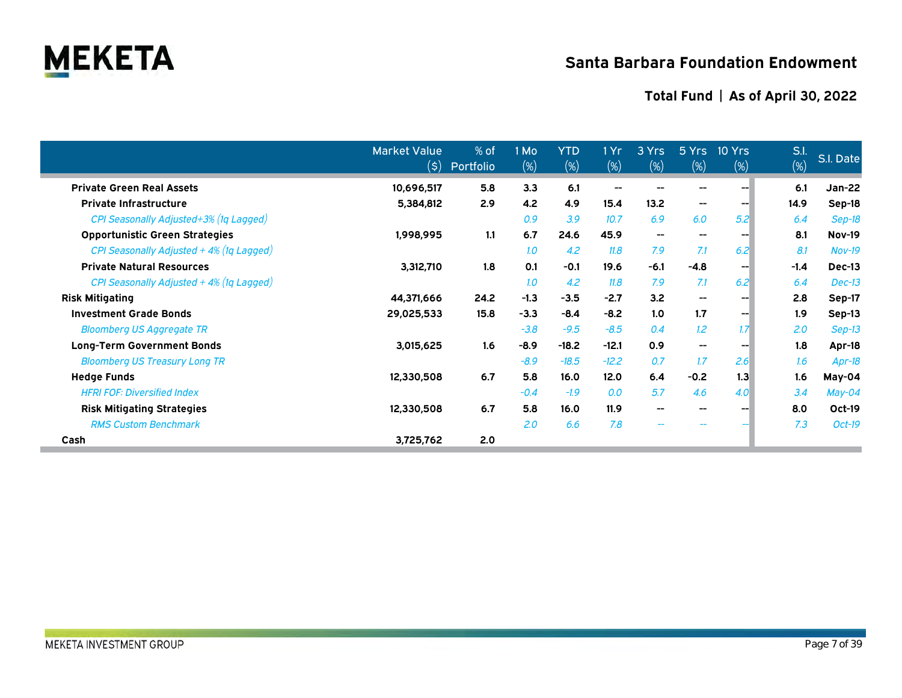

|                                            | <b>Market Value</b><br>$(\boldsymbol{\mathsf{S}})$ | % of<br>Portfolio | 1 Mo<br>$(\%)$ | <b>YTD</b><br>$(\%)$ | 1Yr<br>$(\%)$            | 3 Yrs<br>$(\%)$          | 5Yrs<br>$(\%)$           | 10 Yrs<br>$(\%)$ | S.l.<br>(%) | S.I. Date     |
|--------------------------------------------|----------------------------------------------------|-------------------|----------------|----------------------|--------------------------|--------------------------|--------------------------|------------------|-------------|---------------|
| <b>Private Green Real Assets</b>           | 10,696,517                                         | 5.8               | 3.3            | 6.1                  | $\overline{\phantom{a}}$ | $\qquad \qquad -$        | $\overline{\phantom{a}}$ | --               | 6.1         | <b>Jan-22</b> |
| <b>Private Infrastructure</b>              | 5,384,812                                          | 2.9               | 4.2            | 4.9                  | 15.4                     | 13.2                     | $\overline{\phantom{a}}$ | --               | 14.9        | Sep-18        |
| CPI Seasonally Adjusted+3% (1q Lagged)     |                                                    |                   | 0.9            | 3.9                  | 10.7                     | 6.9                      | 6.0                      | 5.2              | 6.4         | Sep-18        |
| <b>Opportunistic Green Strategies</b>      | 1,998,995                                          | 1.1               | 6.7            | 24.6                 | 45.9                     | $\overline{\phantom{a}}$ | $\hspace{0.05cm}$        | --               | 8.1         | <b>Nov-19</b> |
| CPI Seasonally Adjusted + 4% (1q Lagged)   |                                                    |                   | 1.0            | 4.2                  | 11.8                     | 7.9                      | 7.1                      | 6.2              | 8.1         | $Nov-19$      |
| <b>Private Natural Resources</b>           | 3,312,710                                          | 1.8               | 0.1            | $-0.1$               | 19.6                     | $-6.1$                   | $-4.8$                   | --               | $-1.4$      | Dec-13        |
| CPI Seasonally Adjusted $+4\%$ (1q Lagged) |                                                    |                   | 1.0            | 4.2                  | 11.8                     | 7.9                      | 7.1                      | 6.2              | 6.4         | $Dec-13$      |
| <b>Risk Mitigating</b>                     | 44,371,666                                         | 24.2              | $-1.3$         | $-3.5$               | $-2.7$                   | 3.2                      | $\hspace{0.05cm}$        | --               | 2.8         | Sep-17        |
| <b>Investment Grade Bonds</b>              | 29,025,533                                         | 15.8              | $-3.3$         | $-8.4$               | $-8.2$                   | 1.0                      | 1.7                      | --               | 1.9         | Sep-13        |
| <b>Bloomberg US Aggregate TR</b>           |                                                    |                   | $-3.8$         | $-9.5$               | $-8.5$                   | 0.4                      | 1.2                      | 1.7 <sub>1</sub> | 2.0         | $Sep-13$      |
| <b>Long-Term Government Bonds</b>          | 3,015,625                                          | 1.6               | $-8.9$         | $-18.2$              | $-12.1$                  | 0.9                      | $\hspace{0.05cm}$        | --               | 1.8         | Apr-18        |
| <b>Bloomberg US Treasury Long TR</b>       |                                                    |                   | $-8.9$         | $-18.5$              | $-12.2$                  | 0.7                      | 1.7                      | 2.6              | 1.6         | Apr-18        |
| <b>Hedge Funds</b>                         | 12,330,508                                         | 6.7               | 5.8            | 16.0                 | 12.0                     | 6.4                      | $-0.2$                   | 1.3              | 1.6         | May-04        |
| <b>HFRI FOF: Diversified Index</b>         |                                                    |                   | $-0.4$         | $-1.9$               | 0.0                      | 5.7                      | 4.6                      | 4.0              | 3.4         | May-04        |
| <b>Risk Mitigating Strategies</b>          | 12,330,508                                         | 6.7               | 5.8            | 16.0                 | 11.9                     | $\overline{\phantom{a}}$ | $\hspace{0.05cm}$        | --               | 8.0         | Oct-19        |
| <b>RMS Custom Benchmark</b>                |                                                    |                   | 2.0            | 6.6                  | 7.8                      | $\overline{\phantom{m}}$ | $\overline{\phantom{m}}$ |                  | 7.3         | $Oct-19$      |
| Cash                                       | 3,725,762                                          | 2.0               |                |                      |                          |                          |                          |                  |             |               |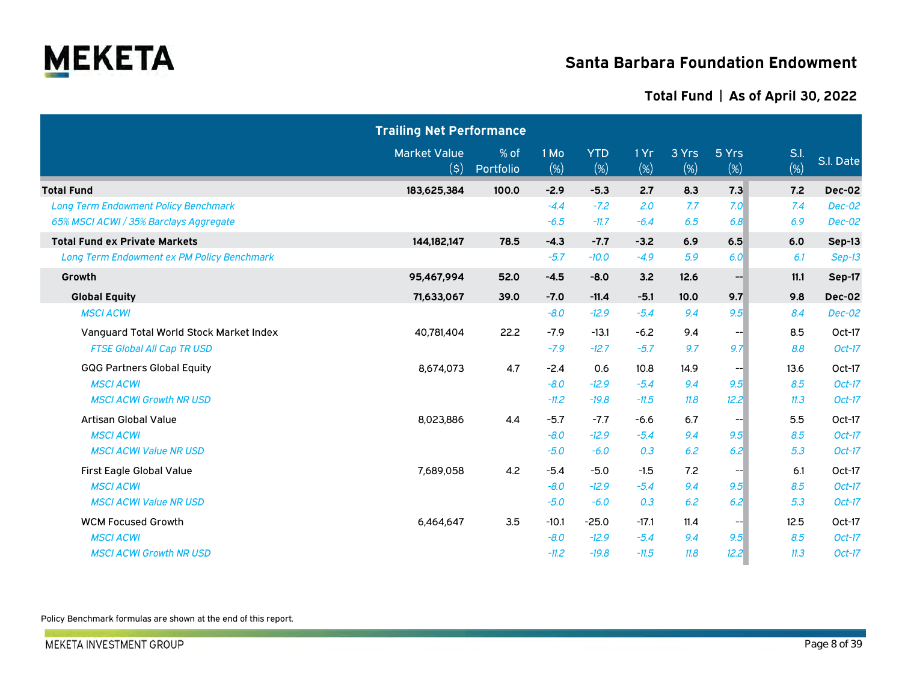

### **Total Fund | As of April 30, 2022**

|                                             | <b>Trailing Net Performance</b>               |                   |             |                   |                |              |                   |             |               |
|---------------------------------------------|-----------------------------------------------|-------------------|-------------|-------------------|----------------|--------------|-------------------|-------------|---------------|
|                                             | <b>Market Value</b><br>$(\boldsymbol{\zeta})$ | % of<br>Portfolio | 1 Mo<br>(%) | <b>YTD</b><br>(%) | 1 Yr<br>$(\%)$ | 3 Yrs<br>(%) | 5 Yrs<br>$(\%)$   | S.I.<br>(%) | S.I. Date     |
| <b>Total Fund</b>                           | 183,625,384                                   | 100.0             | $-2.9$      | $-5.3$            | 2.7            | 8.3          | 7.3               | 7.2         | Dec-02        |
| <b>Long Term Endowment Policy Benchmark</b> |                                               |                   | $-4.4$      | $-7.2$            | 2.0            | 7.7          | 7.0               | 7.4         | <b>Dec-02</b> |
| 65% MSCI ACWI / 35% Barclays Aggregate      |                                               |                   | $-6.5$      | $-11.7$           | $-6.4$         | 6.5          | 6.8               | 6.9         | Dec-02        |
| <b>Total Fund ex Private Markets</b>        | 144,182,147                                   | 78.5              | $-4.3$      | $-7.7$            | $-3.2$         | 6.9          | 6.5               | 6.0         | Sep-13        |
| Long Term Endowment ex PM Policy Benchmark  |                                               |                   | $-5.7$      | $-10.0$           | $-4.9$         | 5.9          | 6.0               | 6.1         | $Sep-13$      |
| Growth                                      | 95,467,994                                    | 52.0              | $-4.5$      | $-8.0$            | 3.2            | 12.6         | $-$               | 11.1        | Sep-17        |
| <b>Global Equity</b>                        | 71,633,067                                    | 39.0              | $-7.0$      | $-11.4$           | $-5.1$         | 10.0         | 9.7               | 9.8         | Dec-02        |
| <b>MSCI ACWI</b>                            |                                               |                   | $-8.0$      | $-12.9$           | $-5.4$         | 9.4          | 9.5               | 8.4         | Dec-02        |
| Vanguard Total World Stock Market Index     | 40,781,404                                    | 22.2              | $-7.9$      | $-13.1$           | $-6.2$         | 9.4          | --                | 8.5         | Oct-17        |
| <b>FTSE Global All Cap TR USD</b>           |                                               |                   | $-7.9$      | $-12.7$           | $-5.7$         | 9.7          | 9.7               | 8.8         | $Oct-17$      |
| <b>GQG Partners Global Equity</b>           | 8,674,073                                     | 4.7               | $-2.4$      | 0.6               | 10.8           | 14.9         | $\qquad \qquad -$ | 13.6        | Oct-17        |
| <b>MSCI ACWI</b>                            |                                               |                   | $-8.0$      | $-12.9$           | $-5.4$         | 9.4          | 9.5               | 8.5         | $Oct-17$      |
| <b>MSCI ACWI Growth NR USD</b>              |                                               |                   | $-11.2$     | $-19.8$           | $-11.5$        | 11.8         | 12.2              | 11.3        | $Oct-17$      |
| Artisan Global Value                        | 8,023,886                                     | 4.4               | $-5.7$      | $-7.7$            | $-6.6$         | 6.7          | $\qquad \qquad -$ | 5.5         | Oct-17        |
| <b>MSCI ACWI</b>                            |                                               |                   | $-8.0$      | $-12.9$           | $-5.4$         | 9.4          | 9.5               | 8.5         | $Oct-17$      |
| <b>MSCI ACWI Value NR USD</b>               |                                               |                   | $-5.0$      | $-6.0$            | 0.3            | 6.2          | 6.2               | 5.3         | $Oct-17$      |
| First Eagle Global Value                    | 7,689,058                                     | 4.2               | $-5.4$      | $-5.0$            | $-1.5$         | 7.2          | --                | 6.1         | Oct-17        |
| <b>MSCI ACWI</b>                            |                                               |                   | $-8.0$      | $-12.9$           | $-5.4$         | 9.4          | 9.5               | 8.5         | $Oct-17$      |
| <b>MSCI ACWI Value NR USD</b>               |                                               |                   | $-5.0$      | $-6.0$            | 0.3            | 6.2          | 6.2               | 5.3         | $Oct-17$      |
| <b>WCM Focused Growth</b>                   | 6,464,647                                     | 3.5               | $-10.1$     | $-25.0$           | $-17.1$        | 11.4         | $\qquad \qquad -$ | 12.5        | Oct-17        |
| <b>MSCI ACWI</b>                            |                                               |                   | $-8.0$      | $-12.9$           | $-5.4$         | 9.4          | 9.5               | 8.5         | $Oct-17$      |
| <b>MSCI ACWI Growth NR USD</b>              |                                               |                   | $-11.2$     | $-19.8$           | $-11.5$        | 11.8         | 12.2              | 11.3        | $Oct-17$      |

Policy Benchmark formulas are shown at the end of this report.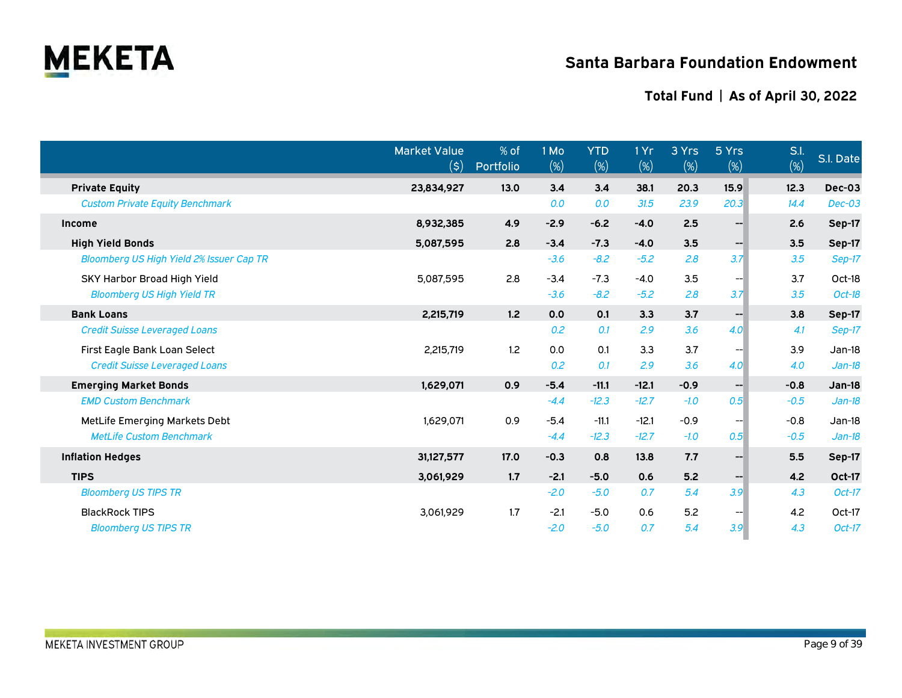

|                                                 | <b>Market Value</b><br>$(\boldsymbol{\mathsf{S}})$ | % of<br>Portfolio | 1 Mo<br>(%) | <b>YTD</b><br>(%) | 1 Yr<br>$(\%)$ | 3 Yrs<br>$(\%)$ | 5 Yrs<br>$(\%)$   | S.l.<br>(%) | S.I. Date     |
|-------------------------------------------------|----------------------------------------------------|-------------------|-------------|-------------------|----------------|-----------------|-------------------|-------------|---------------|
| <b>Private Equity</b>                           | 23,834,927                                         | 13.0              | 3.4         | 3.4               | 38.1           | 20.3            | 15.9              | 12.3        | Dec-03        |
| <b>Custom Private Equity Benchmark</b>          |                                                    |                   | 0.0         | 0.0               | 31.5           | 23.9            | 20.3              | 14.4        | <b>Dec-03</b> |
| <b>Income</b>                                   | 8,932,385                                          | 4.9               | $-2.9$      | $-6.2$            | $-4.0$         | 2.5             | --                | 2.6         | Sep-17        |
| <b>High Yield Bonds</b>                         | 5,087,595                                          | 2.8               | $-3.4$      | $-7.3$            | $-4.0$         | 3.5             | --1               | 3.5         | <b>Sep-17</b> |
| <b>Bloomberg US High Yield 2% Issuer Cap TR</b> |                                                    |                   | $-3.6$      | $-8.2$            | $-5.2$         | 2.8             | 3.7               | 3.5         | Sep-17        |
| SKY Harbor Broad High Yield                     | 5,087,595                                          | 2.8               | $-3.4$      | $-7.3$            | $-4.0$         | 3.5             | --                | 3.7         | Oct-18        |
| <b>Bloomberg US High Yield TR</b>               |                                                    |                   | $-3.6$      | $-8.2$            | $-5.2$         | 2.8             | 3.7               | 3.5         | Oct-18        |
| <b>Bank Loans</b>                               | 2,215,719                                          | 1.2               | 0.0         | 0.1               | 3.3            | 3.7             | $\qquad \qquad -$ | 3.8         | <b>Sep-17</b> |
| <b>Credit Suisse Leveraged Loans</b>            |                                                    |                   | 0.2         | 0.1               | 2.9            | 3.6             | 4.0               | 4.1         | Sep-17        |
| First Eagle Bank Loan Select                    | 2,215,719                                          | 1.2               | 0.0         | 0.1               | 3.3            | 3.7             | ---               | 3.9         | $Jan-18$      |
| <b>Credit Suisse Leveraged Loans</b>            |                                                    |                   | 0.2         | 0.1               | 2.9            | 3.6             | 4.0               | 4.0         | $Jan-18$      |
| <b>Emerging Market Bonds</b>                    | 1,629,071                                          | 0.9               | $-5.4$      | $-11.1$           | $-12.1$        | $-0.9$          | $- -$             | $-0.8$      | <b>Jan-18</b> |
| <b>EMD Custom Benchmark</b>                     |                                                    |                   | $-4.4$      | $-12.3$           | $-12.7$        | $-1.0$          | 0.5               | $-0.5$      | $Jan-18$      |
| MetLife Emerging Markets Debt                   | 1,629,071                                          | 0.9               | $-5.4$      | $-11.1$           | $-12.1$        | $-0.9$          | --                | $-0.8$      | Jan-18        |
| <b>MetLife Custom Benchmark</b>                 |                                                    |                   | $-4.4$      | $-12.3$           | $-12.7$        | $-1.0$          | 0.5               | $-0.5$      | $Jan-18$      |
| <b>Inflation Hedges</b>                         | 31,127,577                                         | 17.0              | $-0.3$      | 0.8               | 13.8           | 7.7             | $\qquad \qquad -$ | 5.5         | <b>Sep-17</b> |
| <b>TIPS</b>                                     | 3,061,929                                          | 1.7               | $-2.1$      | $-5.0$            | 0.6            | 5.2             | --                | 4.2         | Oct-17        |
| <b>Bloomberg US TIPS TR</b>                     |                                                    |                   | $-2.0$      | $-5.0$            | 0.7            | 5.4             | 3.9               | 4.3         | $Oct-17$      |
| <b>BlackRock TIPS</b>                           | 3,061,929                                          | 1.7               | $-2.1$      | $-5.0$            | 0.6            | 5.2             | --                | 4.2         | Oct-17        |
| <b>Bloomberg US TIPS TR</b>                     |                                                    |                   | $-2.0$      | $-5.0$            | 0.7            | 5.4             | 3.9               | 4.3         | $Oct-17$      |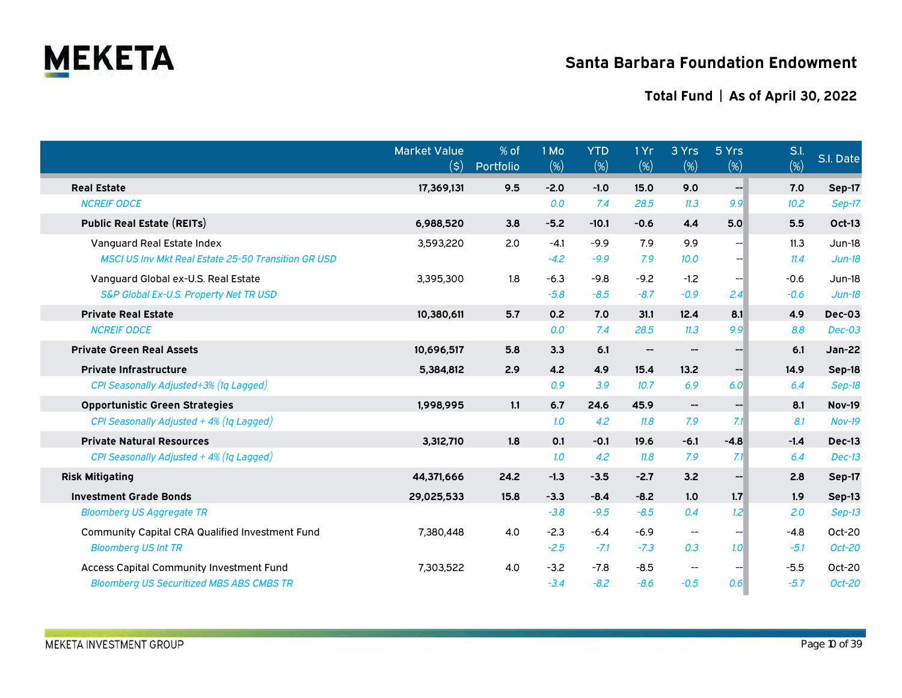

|                                                            | <b>Market Value</b><br>$(\boldsymbol{\mathsf{S}})$ | % of<br>Portfolio | 1 Mo<br>(%) | <b>YTD</b><br>(%) | 1 Yr<br>(%)         | 3 Yrs<br>$(\%)$                                     | 5 Yrs<br>$(\%)$   | S.l.<br>(%) | S.I. Date     |
|------------------------------------------------------------|----------------------------------------------------|-------------------|-------------|-------------------|---------------------|-----------------------------------------------------|-------------------|-------------|---------------|
| <b>Real Estate</b>                                         | 17,369,131                                         | 9.5               | $-2.0$      | $-1.0$            | 15.0                | 9.0                                                 | $- -$             | 7.0         | Sep-17        |
| <b>NCREIF ODCE</b>                                         |                                                    |                   | 0.0         | 7.4               | 28.5                | 11.3                                                | 9.9               | 10.2        | $Sep-17$      |
| <b>Public Real Estate (REITs)</b>                          | 6,988,520                                          | 3.8               | $-5.2$      | $-10.1$           | $-0.6$              | 4.4                                                 | 5.0               | 5.5         | <b>Oct-13</b> |
| Vanguard Real Estate Index                                 | 3,593,220                                          | 2.0               | $-4.1$      | $-9.9$            | 7.9                 | 9.9                                                 | --                | 11.3        | $Jun-18$      |
| <b>MSCI US Inv Mkt Real Estate 25-50 Transition GR USD</b> |                                                    |                   | $-4.2$      | $-9.9$            | 7.9                 | 10.0                                                |                   | 11.4        | $Jun-18$      |
| Vanguard Global ex-U.S. Real Estate                        | 3,395,300                                          | 1.8               | $-6.3$      | $-9.8$            | $-9.2$              | $-1.2$                                              |                   | $-0.6$      | $Jun-18$      |
| S&P Global Ex-U.S. Property Net TR USD                     |                                                    |                   | $-5.8$      | $-8.5$            | $-8.7$              | $-0.9$                                              | 2.4               | $-0.6$      | $Jun-18$      |
| <b>Private Real Estate</b>                                 | 10,380,611                                         | 5.7               | 0.2         | 7.0               | 31.1                | 12.4                                                | 8.1               | 4.9         | Dec-03        |
| <b>NCREIF ODCE</b>                                         |                                                    |                   | 0.0         | 7.4               | 28.5                | 11.3                                                | 9.9               | 8.8         | $Dec-03$      |
| <b>Private Green Real Assets</b>                           | 10,696,517                                         | 5.8               | 3.3         | 6.1               | $\hspace{0.05cm}$ – | $\qquad \qquad \qquad -$                            | --                | 6.1         | <b>Jan-22</b> |
| <b>Private Infrastructure</b>                              | 5,384,812                                          | 2.9               | 4.2         | 4.9               | 15.4                | 13.2                                                | $\qquad \qquad -$ | 14.9        | Sep-18        |
| CPI Seasonally Adjusted+3% (1q Lagged)                     |                                                    |                   | 0.9         | 3.9               | 10.7                | 6.9                                                 | 6.0               | 6.4         | Sep-18        |
| <b>Opportunistic Green Strategies</b>                      | 1,998,995                                          | 1.1               | 6.7         | 24.6              | 45.9                | $\hspace{0.05cm} -\hspace{0.05cm} -\hspace{0.05cm}$ | $- -$             | 8.1         | <b>Nov-19</b> |
| CPI Seasonally Adjusted + 4% (1q Lagged)                   |                                                    |                   | 1.0         | 4.2               | 11.8                | 7.9                                                 | 7.1               | 8.1         | $Nov-19$      |
| <b>Private Natural Resources</b>                           | 3,312,710                                          | 1.8               | 0.1         | $-0.1$            | 19.6                | $-6.1$                                              | $-4.8$            | $-1.4$      | Dec-13        |
| CPI Seasonally Adjusted + 4% (1q Lagged)                   |                                                    |                   | 1.0         | 4.2               | 11.8                | 7.9                                                 | 7.1               | 6.4         | $Dec-13$      |
| <b>Risk Mitigating</b>                                     | 44,371,666                                         | 24.2              | $-1.3$      | $-3.5$            | $-2.7$              | 3.2                                                 | --                | 2.8         | Sep-17        |
| <b>Investment Grade Bonds</b>                              | 29,025,533                                         | 15.8              | $-3.3$      | $-8.4$            | $-8.2$              | 1.0                                                 | 1.7               | 1.9         | Sep-13        |
| <b>Bloomberg US Aggregate TR</b>                           |                                                    |                   | $-3.8$      | $-9.5$            | $-8.5$              | 0.4                                                 | 1.2 <sup>1</sup>  | 2.0         | $Sep-13$      |
| <b>Community Capital CRA Qualified Investment Fund</b>     | 7,380,448                                          | 4.0               | $-2.3$      | $-6.4$            | $-6.9$              | $\overline{\phantom{a}}$                            | --                | $-4.8$      | Oct-20        |
| <b>Bloomberg US Int TR</b>                                 |                                                    |                   | $-2.5$      | $-7.1$            | $-7.3$              | 0.3                                                 | 1.0 <sup>1</sup>  | $-5.1$      | Oct-20        |
| <b>Access Capital Community Investment Fund</b>            | 7,303,522                                          | 4.0               | $-3.2$      | $-7.8$            | $-8.5$              | $\overline{\phantom{a}}$                            |                   | $-5.5$      | Oct-20        |
| <b>Bloomberg US Securitized MBS ABS CMBS TR</b>            |                                                    |                   | $-3.4$      | $-8.2$            | $-8.6$              | $-0.5$                                              | 0.6 <sup>1</sup>  | $-5.7$      | Oct-20        |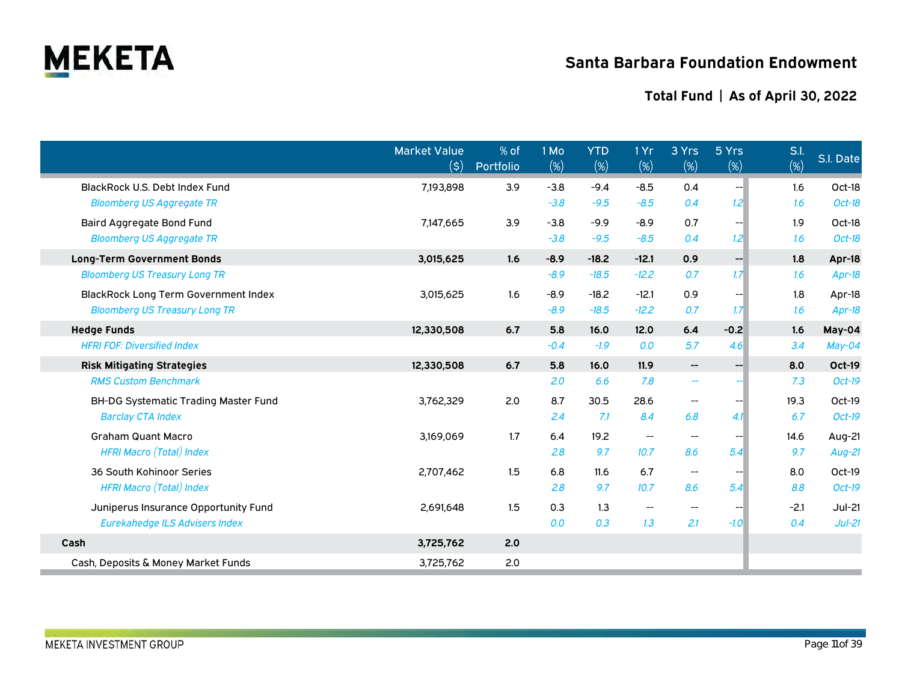

|                                             | <b>Market Value</b><br>$(\boldsymbol{\mathsf{S}})$ | % of<br>Portfolio | 1 Mo<br>$(\%)$ | <b>YTD</b><br>(%) | 1 Yr<br>$(\%)$           | 3 Yrs<br>$(\%)$          | 5 Yrs<br>$(\%)$ | S.I.<br>$(\%)$ | S.I. Date     |
|---------------------------------------------|----------------------------------------------------|-------------------|----------------|-------------------|--------------------------|--------------------------|-----------------|----------------|---------------|
| BlackRock U.S. Debt Index Fund              | 7,193,898                                          | 3.9               | $-3.8$         | $-9.4$            | $-8.5$                   | 0.4                      | --              | 1.6            | Oct-18        |
| <b>Bloomberg US Aggregate TR</b>            |                                                    |                   | $-3.8$         | $-9.5$            | $-8.5$                   | 0.4                      | 1.2             | 1.6            | Oct-18        |
| Baird Aggregate Bond Fund                   | 7,147,665                                          | 3.9               | $-3.8$         | $-9.9$            | $-8.9$                   | 0.7                      |                 | 1.9            | Oct-18        |
| <b>Bloomberg US Aggregate TR</b>            |                                                    |                   | $-3.8$         | $-9.5$            | $-8.5$                   | 0.4                      | 1.2             | 1.6            | Oct-18        |
| <b>Long-Term Government Bonds</b>           | 3,015,625                                          | 1.6               | $-8.9$         | $-18.2$           | $-12.1$                  | 0.9                      | --              | 1.8            | Apr-18        |
| <b>Bloomberg US Treasury Long TR</b>        |                                                    |                   | $-8.9$         | $-18.5$           | $-12.2$                  | 0.7                      | 1.7             | 1.6            | Apr-18        |
| <b>BlackRock Long Term Government Index</b> | 3,015,625                                          | 1.6               | $-8.9$         | $-18.2$           | $-12.1$                  | 0.9                      | --              | 1.8            | Apr-18        |
| <b>Bloomberg US Treasury Long TR</b>        |                                                    |                   | $-8.9$         | $-18.5$           | $-12.2$                  | 0.7                      | 1.7             | 1.6            | Apr-18        |
| <b>Hedge Funds</b>                          | 12,330,508                                         | 6.7               | 5.8            | 16.0              | 12.0                     | 6.4                      | $-0.2$          | 1.6            | May-04        |
| <b>HFRI FOF: Diversified Index</b>          |                                                    |                   | $-0.4$         | $-1.9$            | 0.0                      | 5.7                      | 4.6             | 3.4            | May-04        |
| <b>Risk Mitigating Strategies</b>           | 12,330,508                                         | 6.7               | 5.8            | 16.0              | 11.9                     | $-\!$                    | --              | 8.0            | <b>Oct-19</b> |
| <b>RMS Custom Benchmark</b>                 |                                                    |                   | 2.0            | 6.6               | 7.8                      | $\overline{\phantom{m}}$ |                 | 7.3            | Oct-19        |
| <b>BH-DG Systematic Trading Master Fund</b> | 3,762,329                                          | 2.0               | 8.7            | 30.5              | 28.6                     | $\overline{\phantom{a}}$ |                 | 19.3           | Oct-19        |
| <b>Barclay CTA Index</b>                    |                                                    |                   | 2.4            | 7.1               | 8.4                      | 6.8                      | 4.1             | 6.7            | Oct-19        |
| <b>Graham Quant Macro</b>                   | 3,169,069                                          | 1.7               | 6.4            | 19.2              | $\overline{\phantom{a}}$ | $\overline{\phantom{a}}$ |                 | 14.6           | Aug-21        |
| <b>HFRI Macro (Total) Index</b>             |                                                    |                   | 2.8            | 9.7               | 10.7                     | 8.6                      | 5.4             | 9.7            | Aug-21        |
| 36 South Kohinoor Series                    | 2,707,462                                          | 1.5               | 6.8            | 11.6              | 6.7                      | $\overline{\phantom{a}}$ |                 | 8.0            | Oct-19        |
| <b>HFRI Macro (Total) Index</b>             |                                                    |                   | 2.8            | 9.7               | 10.7                     | 8.6                      | 5.4             | 8.8            | Oct-19        |
| Juniperus Insurance Opportunity Fund        | 2,691,648                                          | 1.5               | 0.3            | 1.3               |                          | $\overline{\phantom{m}}$ |                 | $-2.1$         | $Jul-21$      |
| <b>Eurekahedge ILS Advisers Index</b>       |                                                    |                   | 0.0            | 0.3               | 1.3                      | 2.1                      | $-1.0$          | 0.4            | $Jul-21$      |
| Cash                                        | 3,725,762                                          | 2.0               |                |                   |                          |                          |                 |                |               |
| Cash, Deposits & Money Market Funds         | 3,725,762                                          | 2.0               |                |                   |                          |                          |                 |                |               |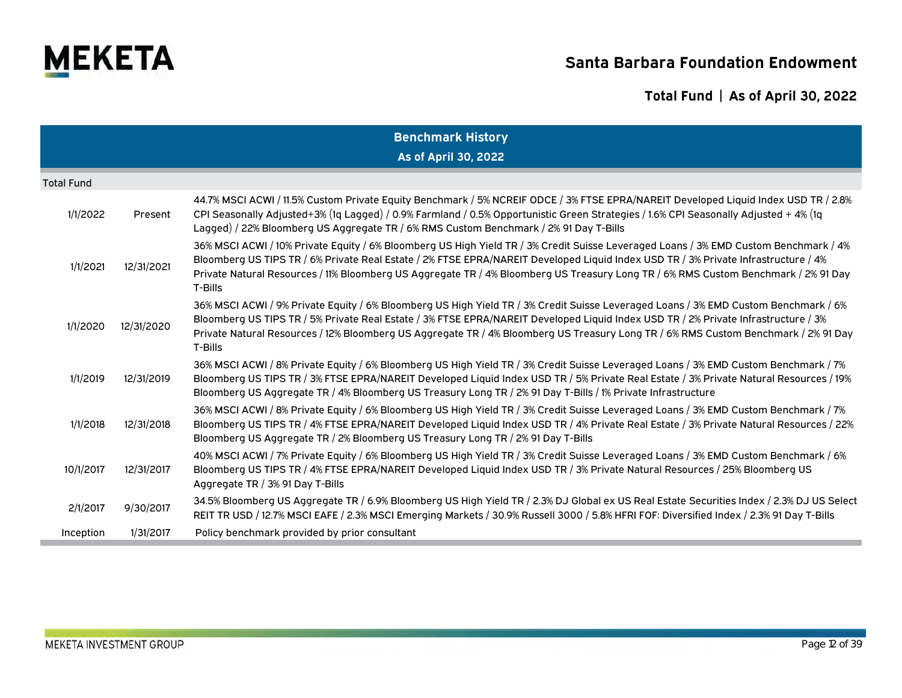

| <b>Benchmark History</b> |                      |                                                                                                                                                                                                                                                                                                                                                                                                                             |  |  |  |  |  |  |  |  |
|--------------------------|----------------------|-----------------------------------------------------------------------------------------------------------------------------------------------------------------------------------------------------------------------------------------------------------------------------------------------------------------------------------------------------------------------------------------------------------------------------|--|--|--|--|--|--|--|--|
|                          | As of April 30, 2022 |                                                                                                                                                                                                                                                                                                                                                                                                                             |  |  |  |  |  |  |  |  |
| <b>Total Fund</b>        |                      |                                                                                                                                                                                                                                                                                                                                                                                                                             |  |  |  |  |  |  |  |  |
| 1/1/2022                 | Present              | 44.7% MSCI ACWI / 11.5% Custom Private Equity Benchmark / 5% NCREIF ODCE / 3% FTSE EPRA/NAREIT Developed Liquid Index USD TR / 2.8%<br>CPI Seasonally Adjusted+3% (1q Lagged) / 0.9% Farmland / 0.5% Opportunistic Green Strategies / 1.6% CPI Seasonally Adjusted + 4% (1q<br>Lagged) / 22% Bloomberg US Aggregate TR / 6% RMS Custom Benchmark / 2% 91 Day T-Bills                                                        |  |  |  |  |  |  |  |  |
| 1/1/2021                 | 12/31/2021           | 36% MSCI ACWI / 10% Private Equity / 6% Bloomberg US High Yield TR / 3% Credit Suisse Leveraged Loans / 3% EMD Custom Benchmark / 4%<br>Bloomberg US TIPS TR / 6% Private Real Estate / 2% FTSE EPRA/NAREIT Developed Liquid Index USD TR / 3% Private Infrastructure / 4%<br>Private Natural Resources / 11% Bloomberg US Aggregate TR / 4% Bloomberg US Treasury Long TR / 6% RMS Custom Benchmark / 2% 91 Day<br>T-Bills |  |  |  |  |  |  |  |  |
| 1/1/2020                 | 12/31/2020           | 36% MSCI ACWI / 9% Private Equity / 6% Bloomberg US High Yield TR / 3% Credit Suisse Leveraged Loans / 3% EMD Custom Benchmark / 6%<br>Bloomberg US TIPS TR / 5% Private Real Estate / 3% FTSE EPRA/NAREIT Developed Liquid Index USD TR / 2% Private Infrastructure / 3%<br>Private Natural Resources / 12% Bloomberg US Aggregate TR / 4% Bloomberg US Treasury Long TR / 6% RMS Custom Benchmark / 2% 91 Day<br>T-Bills  |  |  |  |  |  |  |  |  |
| 1/1/2019                 | 12/31/2019           | 36% MSCI ACWI / 8% Private Equity / 6% Bloomberg US High Yield TR / 3% Credit Suisse Leveraged Loans / 3% EMD Custom Benchmark / 7%<br>Bloomberg US TIPS TR / 3% FTSE EPRA/NAREIT Developed Liquid Index USD TR / 5% Private Real Estate / 3% Private Natural Resources / 19%<br>Bloomberg US Aggregate TR / 4% Bloomberg US Treasury Long TR / 2% 91 Day T-Bills / 1% Private Infrastructure                               |  |  |  |  |  |  |  |  |
| 1/1/2018                 | 12/31/2018           | 36% MSCI ACWI / 8% Private Equity / 6% Bloomberg US High Yield TR / 3% Credit Suisse Leveraged Loans / 3% EMD Custom Benchmark / 7%<br>Bloomberg US TIPS TR / 4% FTSE EPRA/NAREIT Developed Liquid Index USD TR / 4% Private Real Estate / 3% Private Natural Resources / 22%<br>Bloomberg US Aggregate TR / 2% Bloomberg US Treasury Long TR / 2% 91 Day T-Bills                                                           |  |  |  |  |  |  |  |  |
| 10/1/2017                | 12/31/2017           | 40% MSCI ACWI / 7% Private Equity / 6% Bloomberg US High Yield TR / 3% Credit Suisse Leveraged Loans / 3% EMD Custom Benchmark / 6%<br>Bloomberg US TIPS TR / 4% FTSE EPRA/NAREIT Developed Liquid Index USD TR / 3% Private Natural Resources / 25% Bloomberg US<br>Aggregate TR / 3% 91 Day T-Bills                                                                                                                       |  |  |  |  |  |  |  |  |
| 2/1/2017                 | 9/30/2017            | 34.5% Bloomberg US Aggregate TR / 6.9% Bloomberg US High Yield TR / 2.3% DJ Global ex US Real Estate Securities Index / 2.3% DJ US Select<br>REIT TR USD / 12.7% MSCI EAFE / 2.3% MSCI Emerging Markets / 30.9% Russell 3000 / 5.8% HFRI FOF: Diversified Index / 2.3% 91 Day T-Bills                                                                                                                                       |  |  |  |  |  |  |  |  |
| Inception                | 1/31/2017            | Policy benchmark provided by prior consultant                                                                                                                                                                                                                                                                                                                                                                               |  |  |  |  |  |  |  |  |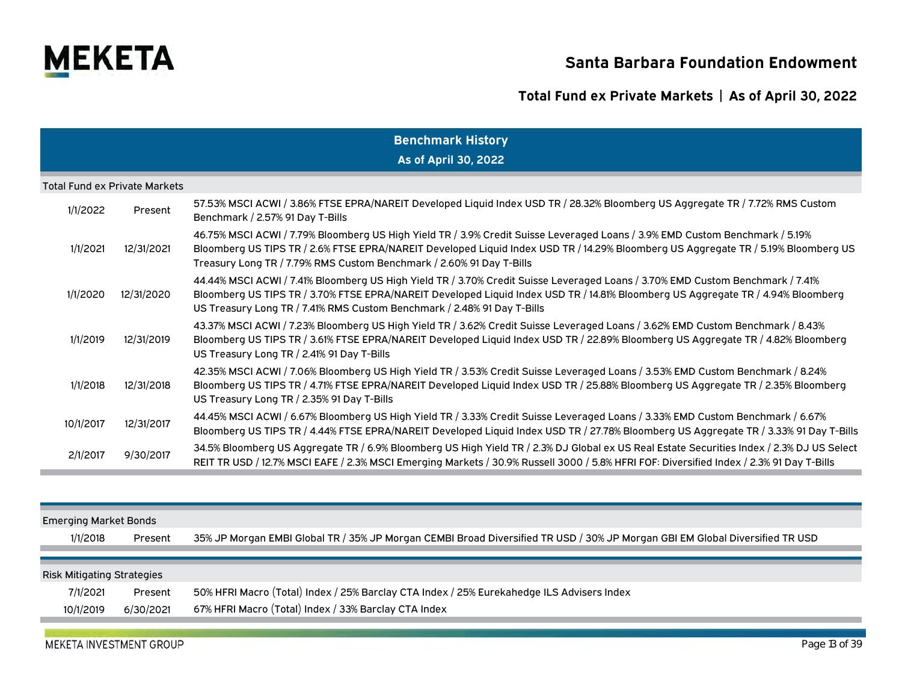

# **Total Fund ex Private Markets | As of April 30, 2022**

|                              | <b>Benchmark History</b>             |                                                                                                                                                                                                                                                                                                                                               |  |  |  |  |  |  |  |  |
|------------------------------|--------------------------------------|-----------------------------------------------------------------------------------------------------------------------------------------------------------------------------------------------------------------------------------------------------------------------------------------------------------------------------------------------|--|--|--|--|--|--|--|--|
|                              |                                      | As of April 30, 2022                                                                                                                                                                                                                                                                                                                          |  |  |  |  |  |  |  |  |
|                              | <b>Total Fund ex Private Markets</b> |                                                                                                                                                                                                                                                                                                                                               |  |  |  |  |  |  |  |  |
| 1/1/2022                     | Present                              | 57.53% MSCI ACWI / 3.86% FTSE EPRA/NAREIT Developed Liquid Index USD TR / 28.32% Bloomberg US Aggregate TR / 7.72% RMS Custom<br>Benchmark / 2.57% 91 Day T-Bills                                                                                                                                                                             |  |  |  |  |  |  |  |  |
| 1/1/2021                     | 12/31/2021                           | 46.75% MSCI ACWI / 7.79% Bloomberg US High Yield TR / 3.9% Credit Suisse Leveraged Loans / 3.9% EMD Custom Benchmark / 5.19%<br>Bloomberg US TIPS TR / 2.6% FTSE EPRA/NAREIT Developed Liquid Index USD TR / 14.29% Bloomberg US Aggregate TR / 5.19% Bloomberg US<br>Treasury Long TR / 7.79% RMS Custom Benchmark / 2.60% 91 Day T-Bills    |  |  |  |  |  |  |  |  |
| 1/1/2020                     | 12/31/2020                           | 44.44% MSCI ACWI / 7.41% Bloomberg US High Yield TR / 3.70% Credit Suisse Leveraged Loans / 3.70% EMD Custom Benchmark / 7.41%<br>Bloomberg US TIPS TR / 3.70% FTSE EPRA/NAREIT Developed Liquid Index USD TR / 14.81% Bloomberg US Aggregate TR / 4.94% Bloomberg<br>US Treasury Long TR / 7.41% RMS Custom Benchmark / 2.48% 91 Day T-Bills |  |  |  |  |  |  |  |  |
| 1/1/2019                     | 12/31/2019                           | 43.37% MSCI ACWI / 7.23% Bloomberg US High Yield TR / 3.62% Credit Suisse Leveraged Loans / 3.62% EMD Custom Benchmark / 8.43%<br>Bloomberg US TIPS TR / 3.61% FTSE EPRA/NAREIT Developed Liquid Index USD TR / 22.89% Bloomberg US Aggregate TR / 4.82% Bloomberg<br>US Treasury Long TR / 2.41% 91 Day T-Bills                              |  |  |  |  |  |  |  |  |
| 1/1/2018                     | 12/31/2018                           | 42.35% MSCI ACWI / 7.06% Bloomberg US High Yield TR / 3.53% Credit Suisse Leveraged Loans / 3.53% EMD Custom Benchmark / 8.24%<br>Bloomberg US TIPS TR / 4.71% FTSE EPRA/NAREIT Developed Liquid Index USD TR / 25.88% Bloomberg US Aggregate TR / 2.35% Bloomberg<br>US Treasury Long TR / 2.35% 91 Day T-Bills                              |  |  |  |  |  |  |  |  |
| 10/1/2017                    | 12/31/2017                           | 44.45% MSCI ACWI / 6.67% Bloomberg US High Yield TR / 3.33% Credit Suisse Leveraged Loans / 3.33% EMD Custom Benchmark / 6.67%<br>Bloomberg US TIPS TR / 4.44% FTSE EPRA/NAREIT Developed Liquid Index USD TR / 27.78% Bloomberg US Aggregate TR / 3.33% 91 Day T-Bills                                                                       |  |  |  |  |  |  |  |  |
| 2/1/2017                     | 9/30/2017                            | 34.5% Bloomberg US Aggregate TR / 6.9% Bloomberg US High Yield TR / 2.3% DJ Global ex US Real Estate Securities Index / 2.3% DJ US Select<br>REIT TR USD / 12.7% MSCI EAFE / 2.3% MSCI Emerging Markets / 30.9% Russell 3000 / 5.8% HFRI FOF: Diversified Index / 2.3% 91 Day T-Bills                                                         |  |  |  |  |  |  |  |  |
|                              |                                      |                                                                                                                                                                                                                                                                                                                                               |  |  |  |  |  |  |  |  |
| <b>Emerging Market Bonds</b> |                                      |                                                                                                                                                                                                                                                                                                                                               |  |  |  |  |  |  |  |  |
| 1/1/2018                     | Present                              | 35% JP Morgan EMBI Global TR / 35% JP Morgan CEMBI Broad Diversified TR USD / 30% JP Morgan GBI EM Global Diversified TR USD                                                                                                                                                                                                                  |  |  |  |  |  |  |  |  |

### Risk Mitigating Strategies

| 7/1/2021  | Present   | 50% HFRI Macro (Total) Index / 25% Barclay CTA Index / 25% Eurekahedge ILS Advisers Index |  |
|-----------|-----------|-------------------------------------------------------------------------------------------|--|
| 10/1/2019 | 6/30/2021 | 67% HFRI Macro (Total) Index / 33% Barclay CTA Index                                      |  |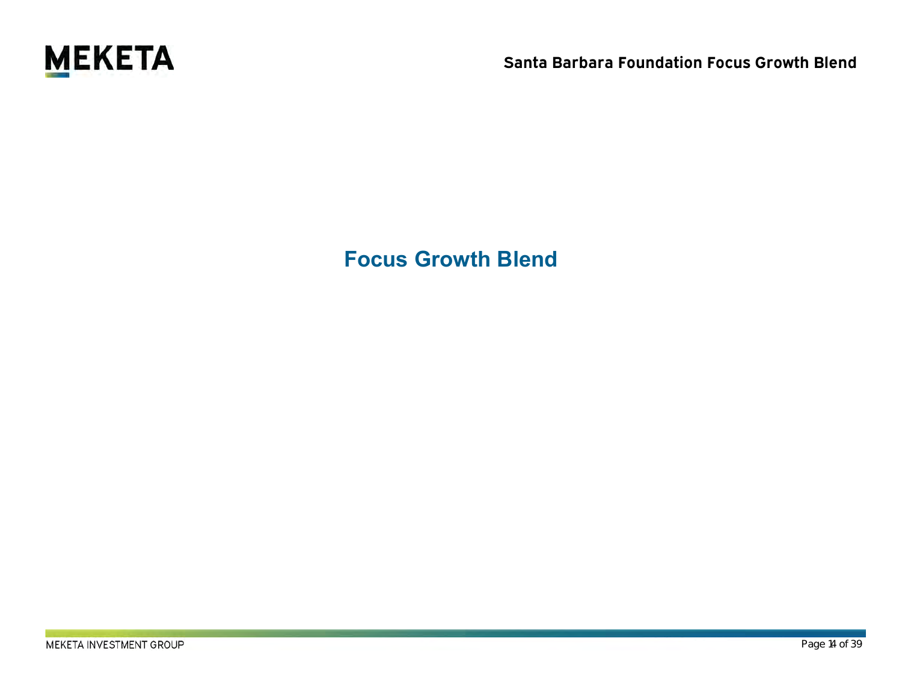

**Focus Growth Blend**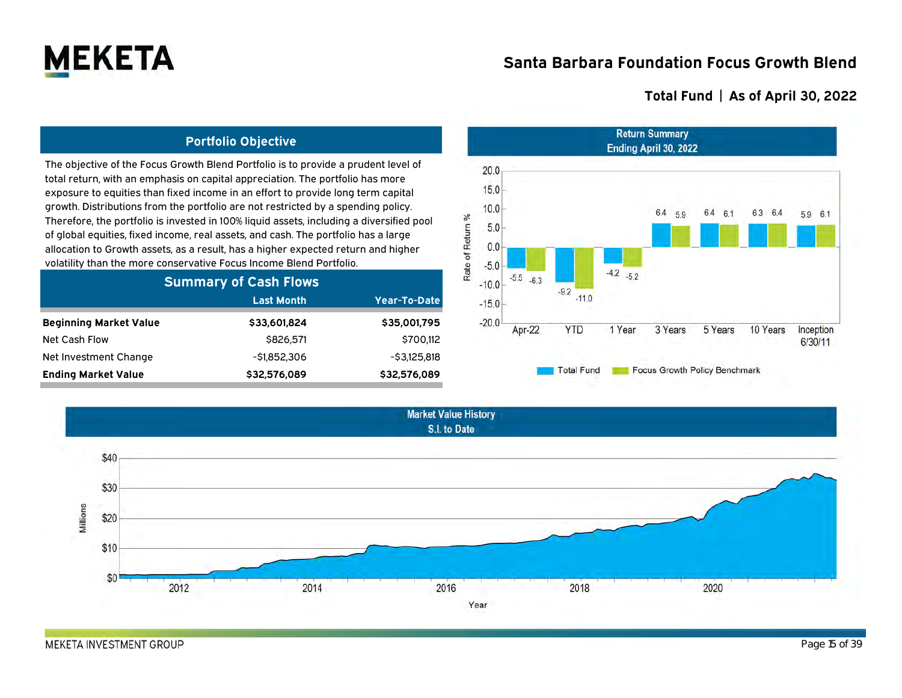

### **Total Fund | As of April 30, 2022**

### **Portfolio Objective**

The objective of the Focus Growth Blend Portfolio is to provide a prudent level of total return, with an emphasis on capital appreciation. The portfolio has more exposure to equities than fixed income in an effort to provide long term capital growth. Distributions from the portfolio are not restricted by a spending policy. Therefore, the portfolio is invested in 100% liquid assets, including a diversified pool of global equities, fixed income, real assets, and cash. The portfolio has a large allocation to Growth assets, as a result, has a higher expected return and higher volatility than the more conservative Focus Income Blend Portfolio.

| <b>Summary of Cash Flows</b>  |                   |               |  |  |  |  |  |  |  |
|-------------------------------|-------------------|---------------|--|--|--|--|--|--|--|
|                               | <b>Last Month</b> | Year-To-Date  |  |  |  |  |  |  |  |
| <b>Beginning Market Value</b> | \$33,601,824      | \$35,001,795  |  |  |  |  |  |  |  |
| Net Cash Flow                 | \$826.571         | \$700.112     |  |  |  |  |  |  |  |
| Net Investment Change         | $-51.852.306$     | $-53.125.818$ |  |  |  |  |  |  |  |
| <b>Ending Market Value</b>    | \$32,576,089      | \$32,576,089  |  |  |  |  |  |  |  |

2014

**Market Value History** S.I. to Date

2016

Year

2018



2020

\$40

\$30

\$20

\$10

\$0

2012

Millions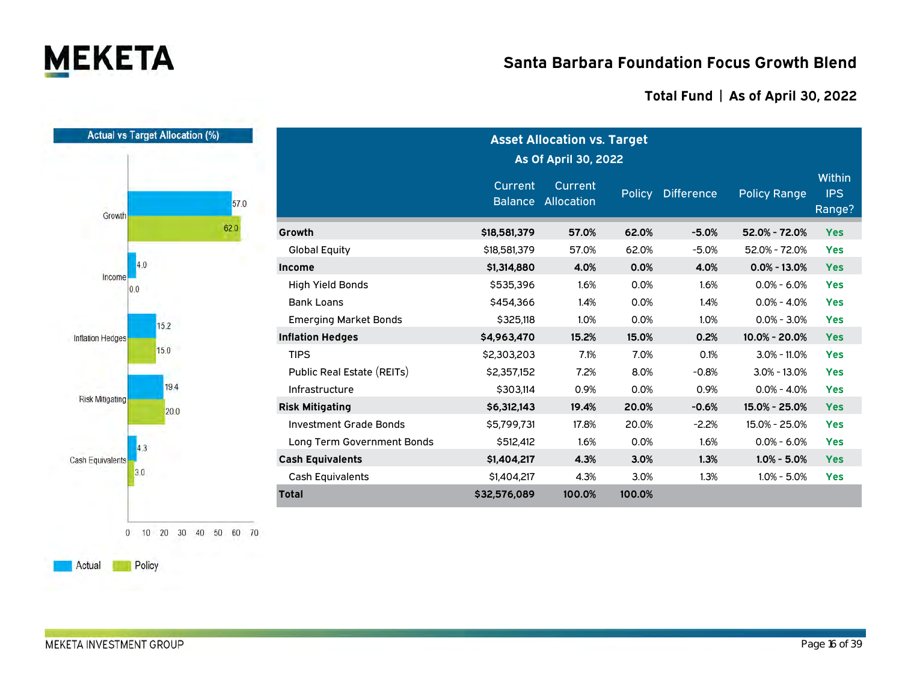

### **Total Fund | As of April 30, 2022**

| <b>Actual vs Target Allocation (%)</b> |      | <b>Asset Allocation vs. Target</b><br>As Of April 30, 2022 |                                  |                       |        |                   |                     |                                       |  |  |  |
|----------------------------------------|------|------------------------------------------------------------|----------------------------------|-----------------------|--------|-------------------|---------------------|---------------------------------------|--|--|--|
| Growth                                 | 57.0 |                                                            | <b>Current</b><br><b>Balance</b> | Current<br>Allocation | Policy | <b>Difference</b> | <b>Policy Range</b> | <b>Within</b><br><b>IPS</b><br>Range? |  |  |  |
|                                        | 62.0 | Growth                                                     | \$18,581,379                     | 57.0%                 | 62.0%  | $-5.0%$           | 52.0% - 72.0%       | <b>Yes</b>                            |  |  |  |
|                                        |      | <b>Global Equity</b>                                       | \$18,581,379                     | 57.0%                 | 62.0%  | $-5.0%$           | 52.0% - 72.0%       | <b>Yes</b>                            |  |  |  |
| 4.0                                    |      | <b>Income</b>                                              | \$1,314,880                      | 4.0%                  | 0.0%   | 4.0%              | $0.0\% - 13.0\%$    | <b>Yes</b>                            |  |  |  |
| Income<br>0.0                          |      | <b>High Yield Bonds</b>                                    | \$535,396                        | 1.6%                  | 0.0%   | 1.6%              | $0.0\% - 6.0\%$     | <b>Yes</b>                            |  |  |  |
|                                        |      | <b>Bank Loans</b>                                          | \$454,366                        | 1.4%                  | 0.0%   | 1.4%              | $0.0\% - 4.0\%$     | <b>Yes</b>                            |  |  |  |
|                                        | 15.2 | <b>Emerging Market Bonds</b>                               | \$325,118                        | 1.0%                  | 0.0%   | 1.0%              | $0.0\% - 3.0\%$     | <b>Yes</b>                            |  |  |  |
| <b>Inflation Hedges</b>                |      | <b>Inflation Hedges</b>                                    | \$4,963,470                      | 15.2%                 | 15.0%  | 0.2%              | 10.0% - 20.0%       | <b>Yes</b>                            |  |  |  |
|                                        | 15.0 | <b>TIPS</b>                                                | \$2,303,203                      | 7.1%                  | 7.0%   | 0.1%              | $3.0\% - 11.0\%$    | <b>Yes</b>                            |  |  |  |
|                                        |      | Public Real Estate (REITs)                                 | \$2,357,152                      | 7.2%                  | 8.0%   | $-0.8%$           | $3.0\% - 13.0\%$    | <b>Yes</b>                            |  |  |  |
|                                        | 19.4 | Infrastructure                                             | \$303,114                        | 0.9%                  | 0.0%   | 0.9%              | $0.0\% - 4.0\%$     | <b>Yes</b>                            |  |  |  |
| <b>Risk Mitigating</b>                 | 20.0 | <b>Risk Mitigating</b>                                     | \$6,312,143                      | 19.4%                 | 20.0%  | $-0.6%$           | 15.0% - 25.0%       | <b>Yes</b>                            |  |  |  |
|                                        |      | <b>Investment Grade Bonds</b>                              | \$5,799,731                      | 17.8%                 | 20.0%  | $-2.2%$           | 15.0% - 25.0%       | <b>Yes</b>                            |  |  |  |
| 4.3                                    |      | Long Term Government Bonds                                 | \$512,412                        | 1.6%                  | 0.0%   | 1.6%              | $0.0\% - 6.0\%$     | <b>Yes</b>                            |  |  |  |
| <b>Cash Equivalents</b>                |      | <b>Cash Equivalents</b>                                    | \$1,404,217                      | 4.3%                  | 3.0%   | 1.3%              | $1.0\% - 5.0\%$     | <b>Yes</b>                            |  |  |  |
| 3.0                                    |      | <b>Cash Equivalents</b>                                    | \$1,404,217                      | 4.3%                  | 3.0%   | 1.3%              | $1.0\% - 5.0\%$     | <b>Yes</b>                            |  |  |  |
|                                        |      | <b>Total</b>                                               | \$32,576,089                     | 100.0%                | 100.0% |                   |                     |                                       |  |  |  |

0 10 20 30 40 50 60 70

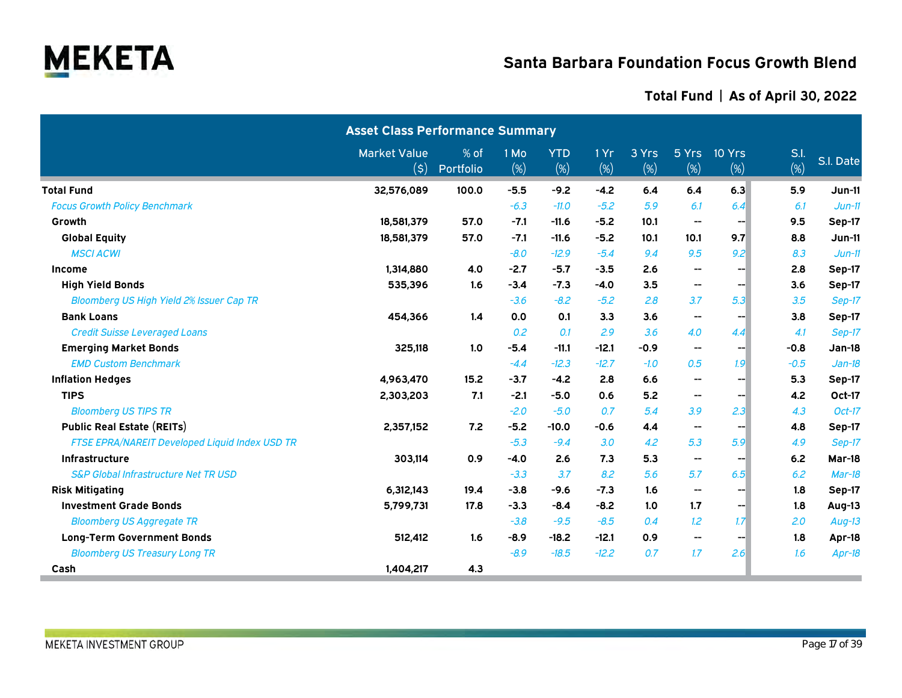

|                                                 | <b>Asset Class Performance Summary</b>        |                   |                |                   |             |              |                                                   |               |              |               |
|-------------------------------------------------|-----------------------------------------------|-------------------|----------------|-------------------|-------------|--------------|---------------------------------------------------|---------------|--------------|---------------|
|                                                 | <b>Market Value</b><br>$(\boldsymbol{\zeta})$ | % of<br>Portfolio | 1 Mo<br>$(\%)$ | <b>YTD</b><br>(%) | 1 Yr<br>(%) | 3 Yrs<br>(%) | 5 Yrs<br>$(\%)$                                   | 10 Yrs<br>(%) | S.I.<br>(% ) | S.I. Date     |
| <b>Total Fund</b>                               | 32,576,089                                    | 100.0             | $-5.5$         | $-9.2$            | $-4.2$      | 6.4          | 6.4                                               | 6.3           | 5.9          | <b>Jun-11</b> |
| <b>Focus Growth Policy Benchmark</b>            |                                               |                   | $-6.3$         | $-11.0$           | $-5.2$      | 5.9          | 6.1                                               | 6.4           | 6.1          | $Jun-11$      |
| Growth                                          | 18.581.379                                    | 57.0              | $-7.1$         | $-11.6$           | $-5.2$      | 10.1         | $\overline{\phantom{a}}$                          | --            | 9.5          | Sep-17        |
| <b>Global Equity</b>                            | 18,581,379                                    | 57.0              | $-7.1$         | $-11.6$           | $-5.2$      | 10.1         | 10.1                                              | 9.7           | 8.8          | $Jun-11$      |
| <b>MSCI ACWI</b>                                |                                               |                   | $-8.0$         | $-12.9$           | $-5.4$      | 9.4          | 9.5                                               | 9.2           | 8.3          | $Jun-11$      |
| <b>Income</b>                                   | 1,314,880                                     | 4.0               | $-2.7$         | $-5.7$            | $-3.5$      | 2.6          | $\hspace{0.05cm}-\hspace{0.05cm}-\hspace{0.05cm}$ | --1           | 2.8          | Sep-17        |
| <b>High Yield Bonds</b>                         | 535,396                                       | 1.6               | $-3.4$         | $-7.3$            | $-4.0$      | 3.5          | $\overline{\phantom{a}}$                          | --            | 3.6          | Sep-17        |
| Bloomberg US High Yield 2% Issuer Cap TR        |                                               |                   | $-3.6$         | $-8.2$            | $-5.2$      | 2.8          | 3.7                                               | 5.3           | 3.5          | Sep-17        |
| <b>Bank Loans</b>                               | 454,366                                       | 1.4               | 0.0            | 0.1               | 3.3         | 3.6          | $\hspace{0.05cm}$                                 |               | 3.8          | Sep-17        |
| <b>Credit Suisse Leveraged Loans</b>            |                                               |                   | 0.2            | 0.1               | 2.9         | 3.6          | 4.0                                               | 4.4           | 4.1          | Sep-17        |
| <b>Emerging Market Bonds</b>                    | 325,118                                       | 1.0               | $-5.4$         | $-11.1$           | $-12.1$     | $-0.9$       | $\hspace{0.05cm}$                                 | --            | $-0.8$       | <b>Jan-18</b> |
| <b>EMD Custom Benchmark</b>                     |                                               |                   | $-4.4$         | $-12.3$           | $-12.7$     | $-1.0$       | 0.5                                               | 1.9           | $-0.5$       | $Jan-18$      |
| <b>Inflation Hedges</b>                         | 4,963,470                                     | 15.2              | $-3.7$         | $-4.2$            | 2.8         | 6.6          | $\hspace{0.05cm}$                                 | --            | 5.3          | Sep-17        |
| <b>TIPS</b>                                     | 2,303,203                                     | 7.1               | $-2.1$         | $-5.0$            | 0.6         | 5.2          | $\overline{\phantom{a}}$                          | --1           | 4.2          | Oct-17        |
| <b>Bloomberg US TIPS TR</b>                     |                                               |                   | $-2.0$         | $-5.0$            | 0.7         | 5.4          | 3.9                                               | 2.3           | 4.3          | $Oct-17$      |
| <b>Public Real Estate (REITs)</b>               | 2,357,152                                     | 7.2               | $-5.2$         | $-10.0$           | $-0.6$      | 4.4          | $\hspace{0.05cm}$                                 | --            | 4.8          | Sep-17        |
| FTSE EPRA/NAREIT Developed Liquid Index USD TR  |                                               |                   | $-5.3$         | $-9.4$            | 3.0         | 4.2          | 5.3                                               | 5.9           | 4.9          | Sep-17        |
| Infrastructure                                  | 303,114                                       | 0.9               | $-4.0$         | 2.6               | 7.3         | 5.3          | $\hspace{0.05cm}$                                 | --            | $6.2$        | Mar-18        |
| <b>S&amp;P Global Infrastructure Net TR USD</b> |                                               |                   | $-3.3$         | 3.7               | 8.2         | 5.6          | 5.7                                               | 6.5           | 6.2          | $Mar-18$      |
| <b>Risk Mitigating</b>                          | 6,312,143                                     | 19.4              | $-3.8$         | $-9.6$            | $-7.3$      | 1.6          | $\hspace{0.05cm}-\hspace{0.05cm}-\hspace{0.05cm}$ | --1           | 1.8          | Sep-17        |
| <b>Investment Grade Bonds</b>                   | 5,799,731                                     | 17.8              | $-3.3$         | $-8.4$            | $-8.2$      | 1.0          | 1.7                                               | --1           | 1.8          | Aug-13        |
| <b>Bloomberg US Aggregate TR</b>                |                                               |                   | $-3.8$         | $-9.5$            | $-8.5$      | 0.4          | 1.2                                               | 1.7           | 2.0          | $Aug-13$      |
| <b>Long-Term Government Bonds</b>               | 512,412                                       | 1.6               | $-8.9$         | $-18.2$           | $-12.1$     | 0.9          | $\hspace{0.05cm}-\hspace{0.05cm}-\hspace{0.05cm}$ | -−∣           | 1.8          | Apr-18        |
| <b>Bloomberg US Treasury Long TR</b>            |                                               |                   | $-8.9$         | $-18.5$           | $-12.2$     | 0.7          | 1.7                                               | 2.6           | 1.6          | Apr-18        |
| Cash                                            | 1,404,217                                     | 4.3               |                |                   |             |              |                                                   |               |              |               |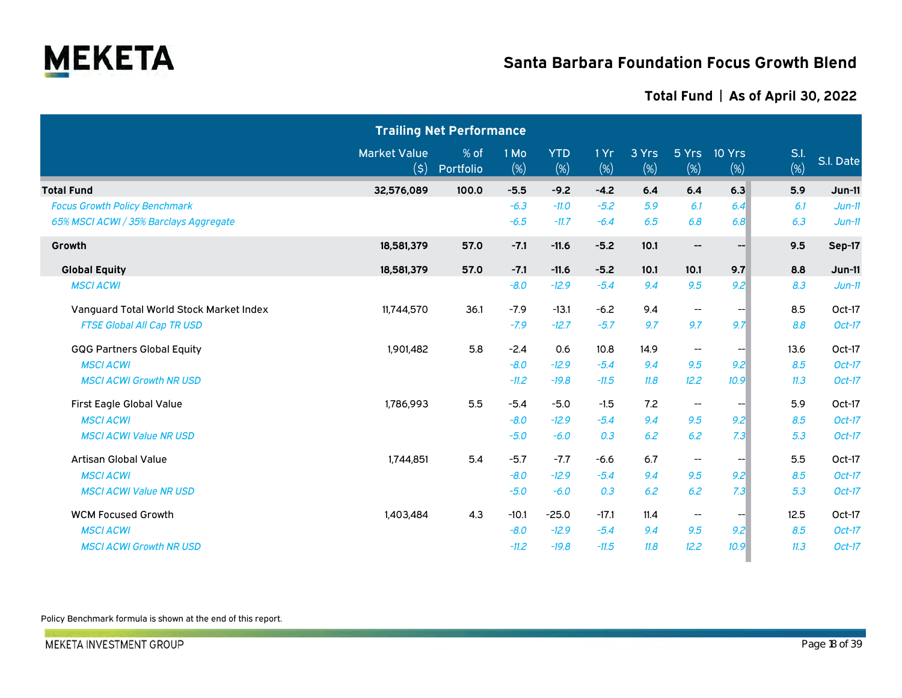

### **Total Fund | As of April 30, 2022**

|                                         |                                                    | <b>Trailing Net Performance</b> |             |                   |            |              |                                       |               |             |           |
|-----------------------------------------|----------------------------------------------------|---------------------------------|-------------|-------------------|------------|--------------|---------------------------------------|---------------|-------------|-----------|
|                                         | <b>Market Value</b><br>$(\boldsymbol{\mathsf{S}})$ | % of<br>Portfolio               | 1 Mo<br>(%) | <b>YTD</b><br>(%) | 1Yr<br>(%) | 3 Yrs<br>(%) | 5 Yrs<br>(%)                          | 10 Yrs<br>(%) | S.I.<br>(%) | S.I. Date |
| <b>Total Fund</b>                       | 32,576,089                                         | 100.0                           | $-5.5$      | $-9.2$            | $-4.2$     | 6.4          | 6.4                                   | 6.3           | 5.9         | $Jun-11$  |
| <b>Focus Growth Policy Benchmark</b>    |                                                    |                                 | $-6.3$      | $-11.0$           | $-5.2$     | 5.9          | 6.1                                   | 6.4           | 6.1         | $Jun-11$  |
| 65% MSCI ACWI / 35% Barclays Aggregate  |                                                    |                                 | $-6.5$      | $-11.7$           | $-6.4$     | 6.5          | 6.8                                   | 6.8           | 6.3         | $Jun-11$  |
| Growth                                  | 18,581,379                                         | 57.0                            | $-7.1$      | $-11.6$           | $-5.2$     | 10.1         | $\hspace{0.05cm}$ – $\hspace{0.05cm}$ | --            | 9.5         | Sep-17    |
| <b>Global Equity</b>                    | 18,581,379                                         | 57.0                            | $-7.1$      | $-11.6$           | $-5.2$     | 10.1         | 10.1                                  | 9.7           | 8.8         | $Jun-11$  |
| <b>MSCI ACWI</b>                        |                                                    |                                 | $-8.0$      | $-12.9$           | $-5.4$     | 9.4          | 9.5                                   | 9.2           | 8.3         | $Jun-11$  |
| Vanguard Total World Stock Market Index | 11,744,570                                         | 36.1                            | $-7.9$      | $-13.1$           | $-6.2$     | 9.4          | $\overline{\phantom{a}}$              | --            | 8.5         | Oct-17    |
| <b>FTSE Global All Cap TR USD</b>       |                                                    |                                 | $-7.9$      | $-12.7$           | $-5.7$     | 9.7          | 9.7                                   | 9.7           | 8.8         | $Oct-17$  |
| <b>GQG Partners Global Equity</b>       | 1,901,482                                          | 5.8                             | $-2.4$      | 0.6               | 10.8       | 14.9         | $\overline{\phantom{m}}$              |               | 13.6        | Oct-17    |
| <b>MSCI ACWI</b>                        |                                                    |                                 | $-8.0$      | $-12.9$           | $-5.4$     | 9.4          | 9.5                                   | 9.2           | 8.5         | Oct-17    |
| <b>MSCI ACWI Growth NR USD</b>          |                                                    |                                 | $-11.2$     | $-19.8$           | $-11.5$    | 11.8         | 12.2                                  | 10.9          | 11.3        | Oct-17    |
| First Eagle Global Value                | 1,786,993                                          | 5.5                             | $-5.4$      | $-5.0$            | $-1.5$     | 7.2          | $- -$                                 | --            | 5.9         | Oct-17    |
| <b>MSCI ACWI</b>                        |                                                    |                                 | $-8.0$      | $-12.9$           | $-5.4$     | 9.4          | 9.5                                   | 9.2           | 8.5         | $Oct-17$  |
| <b>MSCI ACWI Value NR USD</b>           |                                                    |                                 | $-5.0$      | $-6.0$            | 0.3        | 6.2          | 6.2                                   | 7.3           | 5.3         | Oct-17    |
| Artisan Global Value                    | 1,744,851                                          | 5.4                             | $-5.7$      | $-7.7$            | $-6.6$     | 6.7          | $\overline{\phantom{a}}$              | --            | 5.5         | Oct-17    |
| <b>MSCI ACWI</b>                        |                                                    |                                 | $-8.0$      | $-12.9$           | $-5.4$     | 9.4          | 9.5                                   | 9.2           | 8.5         | Oct-17    |
| <b>MSCI ACWI Value NR USD</b>           |                                                    |                                 | $-5.0$      | $-6.0$            | 0.3        | 6.2          | 6.2                                   | 7.3           | 5.3         | Oct-17    |
| <b>WCM Focused Growth</b>               | 1,403,484                                          | 4.3                             | $-10.1$     | $-25.0$           | $-17.1$    | 11.4         | $-\!$                                 | --1           | 12.5        | Oct-17    |
| <b>MSCI ACWI</b>                        |                                                    |                                 | $-8.0$      | $-12.9$           | $-5.4$     | 9.4          | 9.5                                   | 9.2           | 8.5         | Oct-17    |
| <b>MSCI ACWI Growth NR USD</b>          |                                                    |                                 | $-11.2$     | $-19.8$           | $-11.5$    | 11.8         | 12.2                                  | 10.9          | 11.3        | Oct-17    |

Policy Benchmark formula is shown at the end of this report.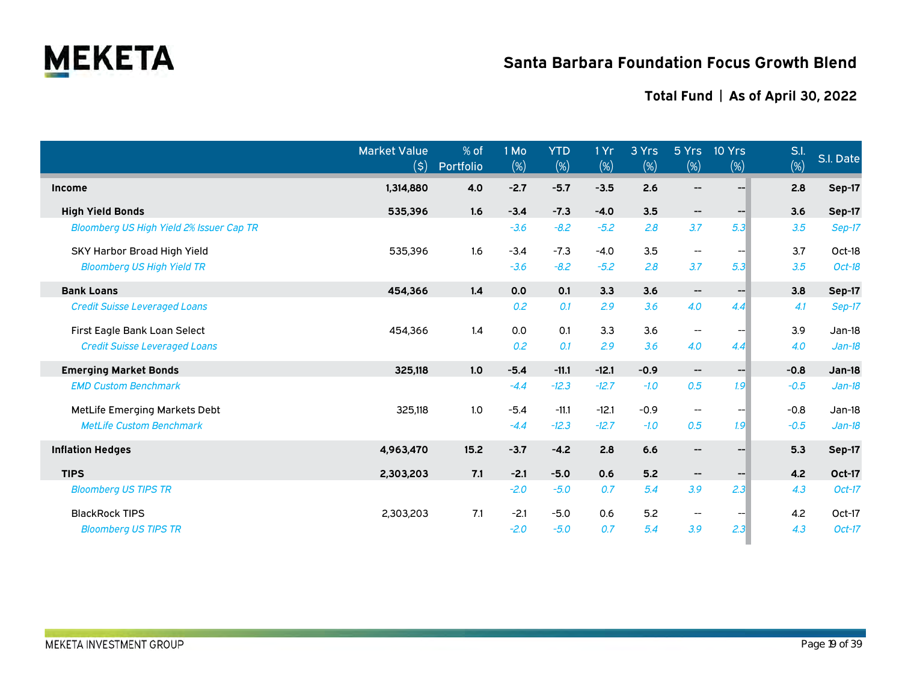

|                                          | <b>Market Value</b><br>(\$) | % of<br>Portfolio | 1 Mo<br>$(\%)$ | <b>YTD</b><br>$(\%)$ | 1Yr<br>(%) | 3 Yrs<br>(%) | 5 Yrs<br>(%)                          | 10 Yrs<br>$(\%)$ | S.l.<br>(%) | S.I. Date     |
|------------------------------------------|-----------------------------|-------------------|----------------|----------------------|------------|--------------|---------------------------------------|------------------|-------------|---------------|
| Income                                   | 1,314,880                   | 4.0               | $-2.7$         | $-5.7$               | $-3.5$     | 2.6          | $\hspace{0.05cm}$ – $\hspace{0.05cm}$ |                  | 2.8         | Sep-17        |
| <b>High Yield Bonds</b>                  | 535,396                     | 1.6               | $-3.4$         | $-7.3$               | $-4.0$     | 3.5          | $-\!$                                 | $-$              | 3.6         | Sep-17        |
| Bloomberg US High Yield 2% Issuer Cap TR |                             |                   | $-3.6$         | $-8.2$               | $-5.2$     | 2.8          | 3.7                                   | 5.3              | 3.5         | Sep-17        |
| <b>SKY Harbor Broad High Yield</b>       | 535,396                     | 1.6               | $-3.4$         | $-7.3$               | $-4.0$     | 3.5          | $\overline{\phantom{a}}$              |                  | 3.7         | Oct-18        |
| <b>Bloomberg US High Yield TR</b>        |                             |                   | $-3.6$         | $-8.2$               | $-5.2$     | 2.8          | 3.7                                   | 5.3              | 3.5         | Oct-18        |
| <b>Bank Loans</b>                        | 454,366                     | 1.4               | 0.0            | 0.1                  | 3.3        | 3.6          | $\hspace{0.05cm}$ –                   | $--$             | 3.8         | <b>Sep-17</b> |
| <b>Credit Suisse Leveraged Loans</b>     |                             |                   | 0.2            | 0.1                  | 2.9        | 3.6          | 4.0                                   | 4.4              | 4.1         | Sep-17        |
| First Eagle Bank Loan Select             | 454,366                     | 1.4               | 0.0            | 0.1                  | 3.3        | 3.6          | $\overline{\phantom{a}}$              |                  | 3.9         | $Jan-18$      |
| <b>Credit Suisse Leveraged Loans</b>     |                             |                   | 0.2            | 0.1                  | 2.9        | 3.6          | 4.0                                   | 4.4              | 4.0         | $Jan-18$      |
| <b>Emerging Market Bonds</b>             | 325,118                     | 1.0               | $-5.4$         | $-11.1$              | $-12.1$    | $-0.9$       | $-\!$                                 | $- -$            | $-0.8$      | Jan-18        |
| <b>EMD Custom Benchmark</b>              |                             |                   | $-4.4$         | $-12.3$              | $-12.7$    | $-1.0$       | 0.5                                   | 1.9              | $-0.5$      | $Jan-18$      |
| MetLife Emerging Markets Debt            | 325,118                     | 1.0               | $-5.4$         | $-11.1$              | $-12.1$    | $-0.9$       | $\hspace{0.05cm}$                     | --1              | $-0.8$      | $Jan-18$      |
| <b>MetLife Custom Benchmark</b>          |                             |                   | $-4.4$         | $-12.3$              | $-12.7$    | $-1.0$       | 0.5                                   | 1.9              | $-0.5$      | $Jan-18$      |
| <b>Inflation Hedges</b>                  | 4.963.470                   | 15.2              | $-3.7$         | $-4.2$               | 2.8        | 6.6          | $\overline{\phantom{a}}$              | $-$              | 5.3         | <b>Sep-17</b> |
| <b>TIPS</b>                              | 2,303,203                   | 7.1               | $-2.1$         | $-5.0$               | 0.6        | 5.2          | $\hspace{0.05cm}$ $\hspace{0.05cm}$   | --               | 4.2         | <b>Oct-17</b> |
| <b>Bloomberg US TIPS TR</b>              |                             |                   | $-2.0$         | $-5.0$               | 0.7        | 5.4          | 3.9                                   | 2.3              | 4.3         | $Oct-17$      |
| <b>BlackRock TIPS</b>                    | 2,303,203                   | 7.1               | $-2.1$         | $-5.0$               | 0.6        | 5.2          | $\hspace{0.05cm}$                     |                  | 4.2         | Oct-17        |
| <b>Bloomberg US TIPS TR</b>              |                             |                   | $-2.0$         | $-5.0$               | 0.7        | 5.4          | 3.9                                   | 2.3              | 4.3         | $Oct-17$      |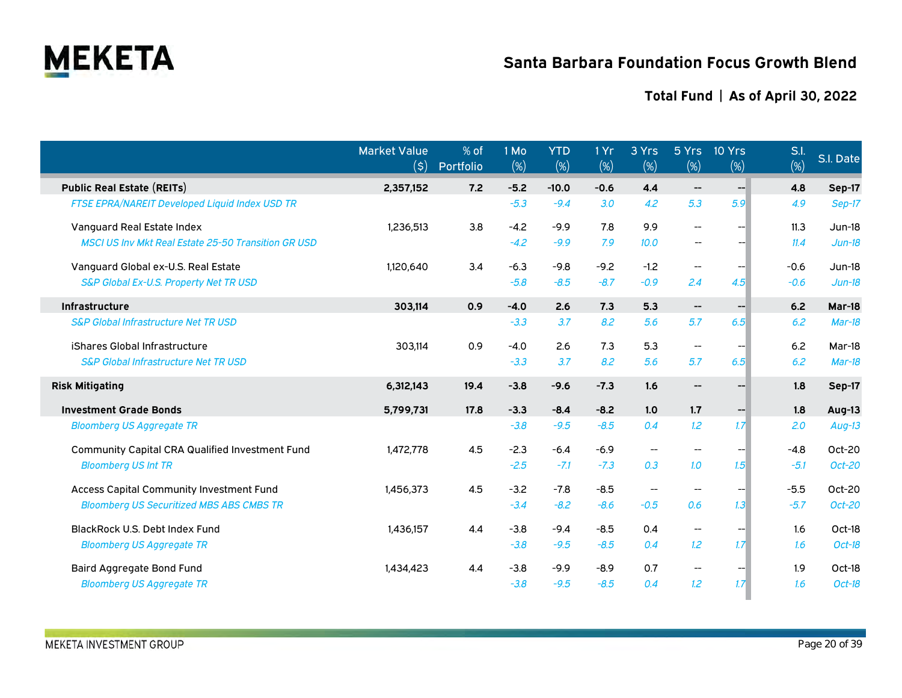

|                                                            | <b>Market Value</b><br>(\$) | % of<br>Portfolio | 1 Mo<br>(%) | <b>YTD</b><br>$(\%)$ | 1 Yr<br>(%) | 3 Yrs<br>$(\%)$          | 5 Yrs<br>$(\%)$                     | 10 Yrs<br>$(\%)$ | S.l.<br>(%) | S.I. Date |
|------------------------------------------------------------|-----------------------------|-------------------|-------------|----------------------|-------------|--------------------------|-------------------------------------|------------------|-------------|-----------|
| <b>Public Real Estate (REITs)</b>                          | 2,357,152                   | 7.2               | $-5.2$      | $-10.0$              | $-0.6$      | 4.4                      | $\hspace{0.05cm}$ $\hspace{0.05cm}$ | $- -$            | 4.8         | Sep-17    |
| <b>FTSE EPRA/NAREIT Developed Liquid Index USD TR</b>      |                             |                   | $-5.3$      | $-9.4$               | 3.0         | 4.2                      | 5.3                                 | 5.9              | 4.9         | Sep-17    |
| Vanguard Real Estate Index                                 | 1,236,513                   | 3.8               | $-4.2$      | $-9.9$               | 7.8         | 9.9                      | $\overline{\phantom{a}}$            |                  | 11.3        | $Jun-18$  |
| <b>MSCI US Inv Mkt Real Estate 25-50 Transition GR USD</b> |                             |                   | $-4.2$      | $-9.9$               | 7.9         | 10.0                     | $\overline{\phantom{a}}$            |                  | 11.4        | $Jun-18$  |
| Vanguard Global ex-U.S. Real Estate                        | 1.120.640                   | 3.4               | $-6.3$      | $-9.8$               | $-9.2$      | $-1.2$                   | $\overline{\phantom{a}}$            |                  | $-0.6$      | $Jun-18$  |
| S&P Global Ex-U.S. Property Net TR USD                     |                             |                   | $-5.8$      | $-8.5$               | $-8.7$      | $-0.9$                   | 2.4                                 | 4.5              | $-0.6$      | $Jun-18$  |
| Infrastructure                                             | 303,114                     | 0.9               | $-4.0$      | 2.6                  | 7.3         | 5.3                      | $\hspace{0.05cm}$ $\hspace{0.05cm}$ | $-$              | 6.2         | Mar-18    |
| <b>S&amp;P Global Infrastructure Net TR USD</b>            |                             |                   | $-3.3$      | 3.7                  | 8.2         | 5.6                      | 5.7                                 | 6.5              | 6.2         | $Mar-18$  |
| iShares Global Infrastructure                              | 303,114                     | 0.9               | $-4.0$      | 2.6                  | 7.3         | 5.3                      | $\overline{\phantom{a}}$            |                  | 6.2         | Mar-18    |
| <b>S&amp;P Global Infrastructure Net TR USD</b>            |                             |                   | $-3.3$      | 3.7                  | 8.2         | 5.6                      | 5.7                                 | 6.5              | 6.2         | Mar-18    |
| <b>Risk Mitigating</b>                                     | 6,312,143                   | 19.4              | $-3.8$      | $-9.6$               | $-7.3$      | 1.6                      | $\qquad \qquad \qquad -$            |                  | 1.8         | Sep-17    |
| <b>Investment Grade Bonds</b>                              | 5,799,731                   | 17.8              | $-3.3$      | $-8.4$               | $-8.2$      | 1.0                      | 1.7                                 | $--$             | 1.8         | Aug-13    |
| <b>Bloomberg US Aggregate TR</b>                           |                             |                   | $-3.8$      | $-9.5$               | $-8.5$      | 0.4                      | 1.2                                 | 1.7 <sub>l</sub> | 2.0         | $Aug-13$  |
| <b>Community Capital CRA Qualified Investment Fund</b>     | 1,472,778                   | 4.5               | $-2.3$      | $-6.4$               | $-6.9$      |                          |                                     |                  | $-4.8$      | Oct-20    |
| <b>Bloomberg US Int TR</b>                                 |                             |                   | $-2.5$      | $-7.1$               | $-7.3$      | 0.3                      | 1.0                                 | 1.5 <sub>1</sub> | $-5.1$      | Oct-20    |
| <b>Access Capital Community Investment Fund</b>            | 1,456,373                   | 4.5               | $-3.2$      | $-7.8$               | $-8.5$      | $\overline{\phantom{a}}$ | $\overline{\phantom{a}}$            |                  | $-5.5$      | Oct-20    |
| <b>Bloomberg US Securitized MBS ABS CMBS TR</b>            |                             |                   | $-3.4$      | $-8.2$               | $-8.6$      | $-0.5$                   | 0.6                                 | 1.3              | $-5.7$      | Oct-20    |
| <b>BlackRock U.S. Debt Index Fund</b>                      | 1,436,157                   | 4.4               | $-3.8$      | $-9.4$               | $-8.5$      | 0.4                      | $\hspace{0.05cm}$                   |                  | 1.6         | Oct-18    |
| <b>Bloomberg US Aggregate TR</b>                           |                             |                   | $-3.8$      | $-9.5$               | $-8.5$      | 0.4                      | 1.2                                 | 1.7 <sup>°</sup> | 1.6         | Oct-18    |
| Baird Aggregate Bond Fund                                  | 1,434,423                   | 4.4               | $-3.8$      | $-9.9$               | $-8.9$      | 0.7                      | $\overline{\phantom{a}}$            |                  | 1.9         | Oct-18    |
| <b>Bloomberg US Aggregate TR</b>                           |                             |                   | $-3.8$      | $-9.5$               | $-8.5$      | 0.4                      | 1.2                                 | 1.7              | 1.6         | Oct-18    |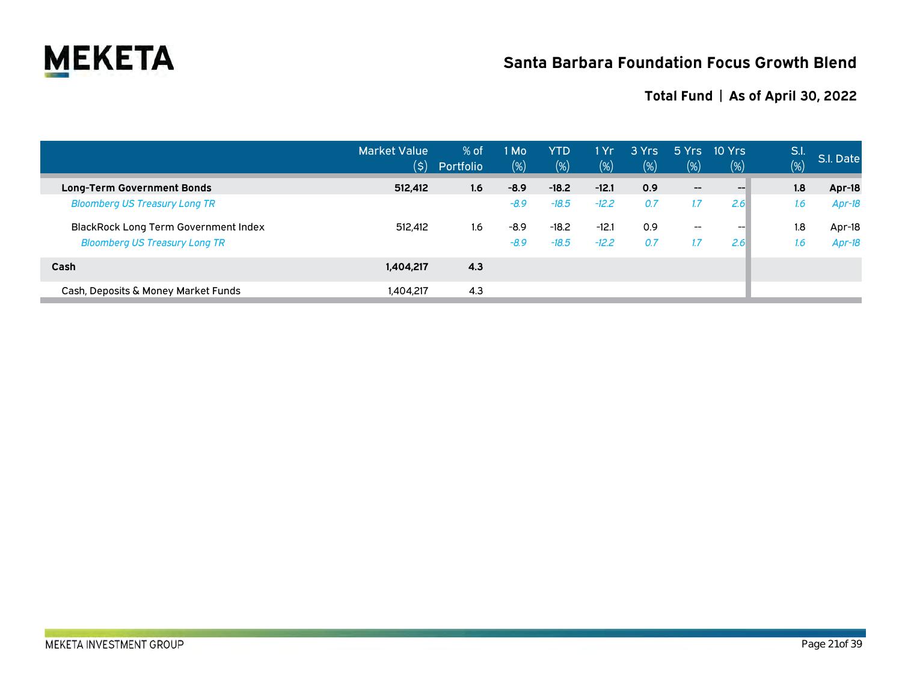

|                                             | <b>Market Value</b><br>(5) | $%$ of<br>Portfolio | 1 Mo<br>$(\%)$ | <b>YTD</b><br>(%) | l Yr<br>$(\%)$ | 3 Yrs<br>$(\%)$ | 5Yrs<br>(%)                           | 10 Yrs<br>$(\%)$ | S.I.<br>(%) | S.I. Date |
|---------------------------------------------|----------------------------|---------------------|----------------|-------------------|----------------|-----------------|---------------------------------------|------------------|-------------|-----------|
| <b>Long-Term Government Bonds</b>           | 512,412                    | 1.6                 | $-8.9$         | $-18.2$           | $-12.1$        | 0.9             | $\hspace{0.05cm}$ – $\hspace{0.05cm}$ | $-$              | 1.8         | Apr-18    |
| <b>Bloomberg US Treasury Long TR</b>        |                            |                     | $-8.9$         | $-18.5$           | $-12.2$        | 0.7             | 1.7                                   | 2.6              | 1.6         | $Apr-18$  |
| <b>BlackRock Long Term Government Index</b> | 512.412                    | 1.6                 | $-8.9$         | $-18.2$           | $-12.1$        | 0.9             | $\overline{\phantom{a}}$              | $- -$            | 1.8         | Apr-18    |
| <b>Bloomberg US Treasury Long TR</b>        |                            |                     | $-8.9$         | $-18.5$           | $-12.2$        | 0.7             | 1.7                                   | 2.6              | 1.6         | $Apr-18$  |
| Cash                                        | 1,404,217                  | 4.3                 |                |                   |                |                 |                                       |                  |             |           |
| Cash, Deposits & Money Market Funds         | 1,404,217                  | 4.3                 |                |                   |                |                 |                                       |                  |             |           |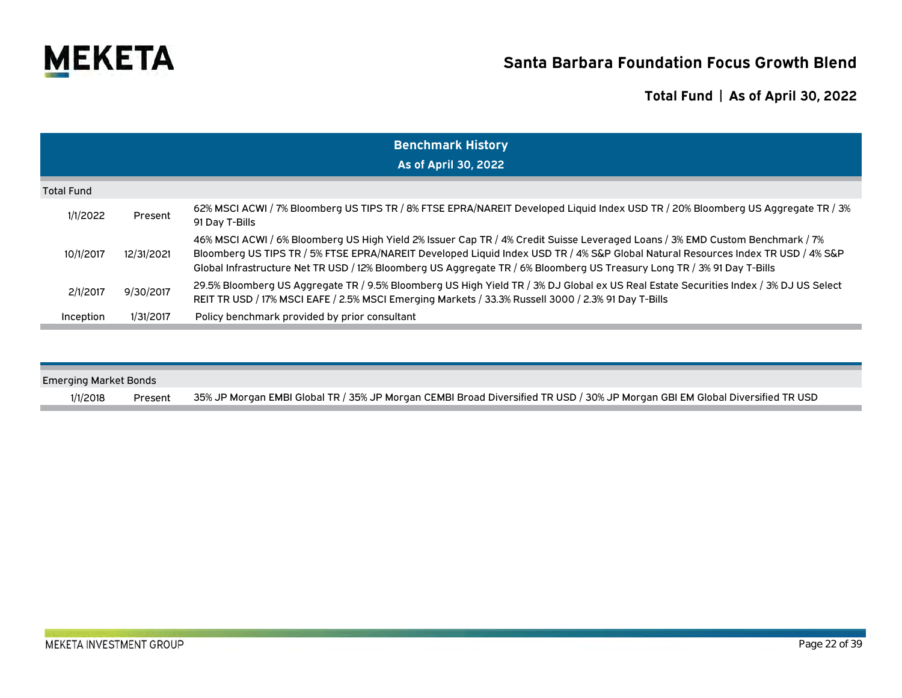

|                   | <b>Benchmark History</b> |                                                                                                                                                                                                                                                                                                                                                                                              |  |  |  |  |  |  |  |  |  |
|-------------------|--------------------------|----------------------------------------------------------------------------------------------------------------------------------------------------------------------------------------------------------------------------------------------------------------------------------------------------------------------------------------------------------------------------------------------|--|--|--|--|--|--|--|--|--|
|                   | As of April 30, 2022     |                                                                                                                                                                                                                                                                                                                                                                                              |  |  |  |  |  |  |  |  |  |
| <b>Total Fund</b> |                          |                                                                                                                                                                                                                                                                                                                                                                                              |  |  |  |  |  |  |  |  |  |
| 1/1/2022          | Present                  | 62% MSCI ACWI / 7% Bloomberg US TIPS TR / 8% FTSE EPRA/NAREIT Developed Liquid Index USD TR / 20% Bloomberg US Aggregate TR / 3%<br>91 Day T-Bills                                                                                                                                                                                                                                           |  |  |  |  |  |  |  |  |  |
| 10/1/2017         | 12/31/2021               | 46% MSCI ACWI / 6% Bloomberg US High Yield 2% Issuer Cap TR / 4% Credit Suisse Leveraged Loans / 3% EMD Custom Benchmark / 7%<br>Bloomberg US TIPS TR / 5% FTSE EPRA/NAREIT Developed Liquid Index USD TR / 4% S&P Global Natural Resources Index TR USD / 4% S&P<br>Global Infrastructure Net TR USD / 12% Bloomberg US Aggregate TR / 6% Bloomberg US Treasury Long TR / 3% 91 Day T-Bills |  |  |  |  |  |  |  |  |  |
| 2/1/2017          | 9/30/2017                | 29.5% Bloomberg US Aggregate TR / 9.5% Bloomberg US High Yield TR / 3% DJ Global ex US Real Estate Securities Index / 3% DJ US Select<br>REIT TR USD / 17% MSCI EAFE / 2.5% MSCI Emerging Markets / 33.3% Russell 3000 / 2.3% 91 Day T-Bills                                                                                                                                                 |  |  |  |  |  |  |  |  |  |
| Inception         | 1/31/2017                | Policy benchmark provided by prior consultant                                                                                                                                                                                                                                                                                                                                                |  |  |  |  |  |  |  |  |  |

| Emerging Market Bonds |         |                                                                                                                              |
|-----------------------|---------|------------------------------------------------------------------------------------------------------------------------------|
| 1/1/2018              | Present | 35% JP Morgan EMBI Global TR / 35% JP Morgan CEMBI Broad Diversified TR USD / 30% JP Morgan GBI EM Global Diversified TR USD |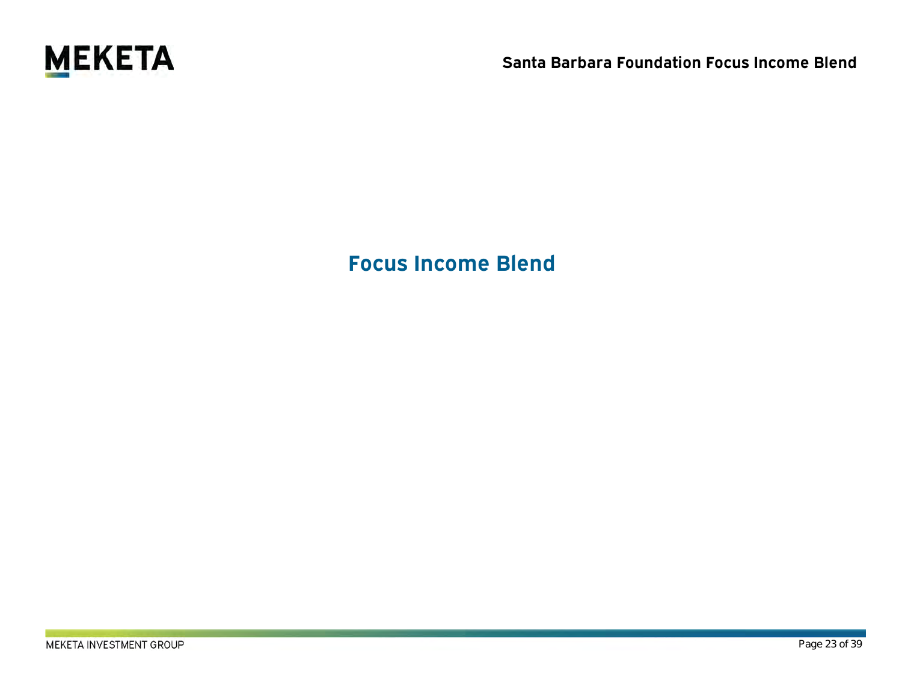

**Focus Income Blend**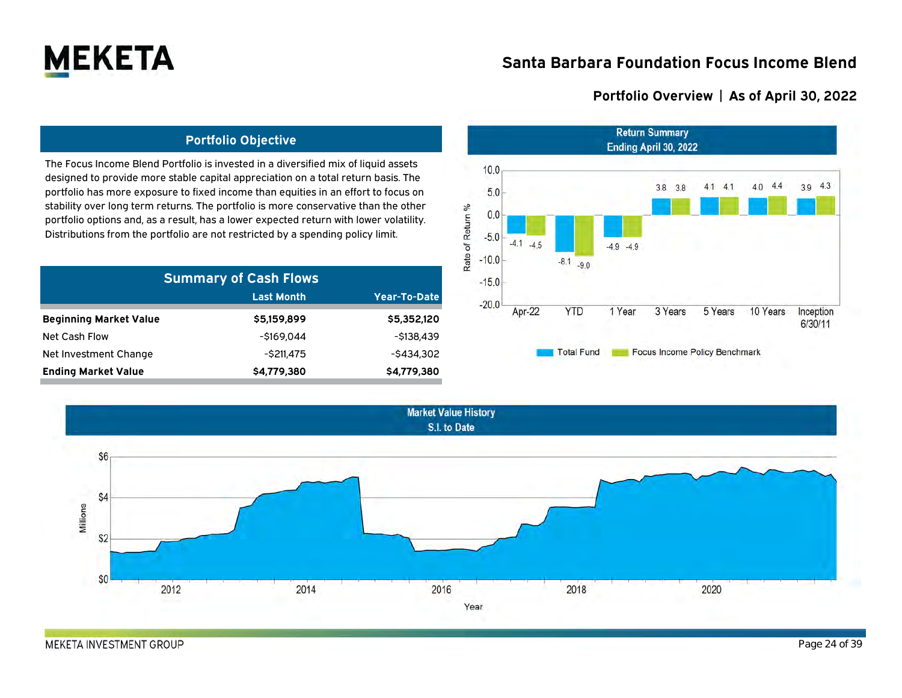

### **Portfolio Overview | As of April 30, 2022**

### **Portfolio Objective**

The Focus Income Blend Portfolio is invested in a diversified mix of liquid assets designed to provide more stable capital appreciation on a total return basis. The portfolio has more exposure to fixed income than equities in an effort to focus on stability over long term returns. The portfolio is more conservative than the other portfolio options and, as a result, has a lower expected return with lower volatility. Distributions from the portfolio are not restricted by a spending policy limit.

| <b>Summary of Cash Flows</b>  |               |               |  |  |  |  |  |  |  |
|-------------------------------|---------------|---------------|--|--|--|--|--|--|--|
|                               | Last Month    | Year-To-Date  |  |  |  |  |  |  |  |
| <b>Beginning Market Value</b> | \$5,159,899   | \$5,352,120   |  |  |  |  |  |  |  |
| Net Cash Flow                 | -\$169.044    | $-5138.439$   |  |  |  |  |  |  |  |
| Net Investment Change         | $-$ \$211,475 | $-$ \$434.302 |  |  |  |  |  |  |  |
| <b>Ending Market Value</b>    | \$4,779,380   | \$4,779,380   |  |  |  |  |  |  |  |





MEKETA INVESTMENT GROUP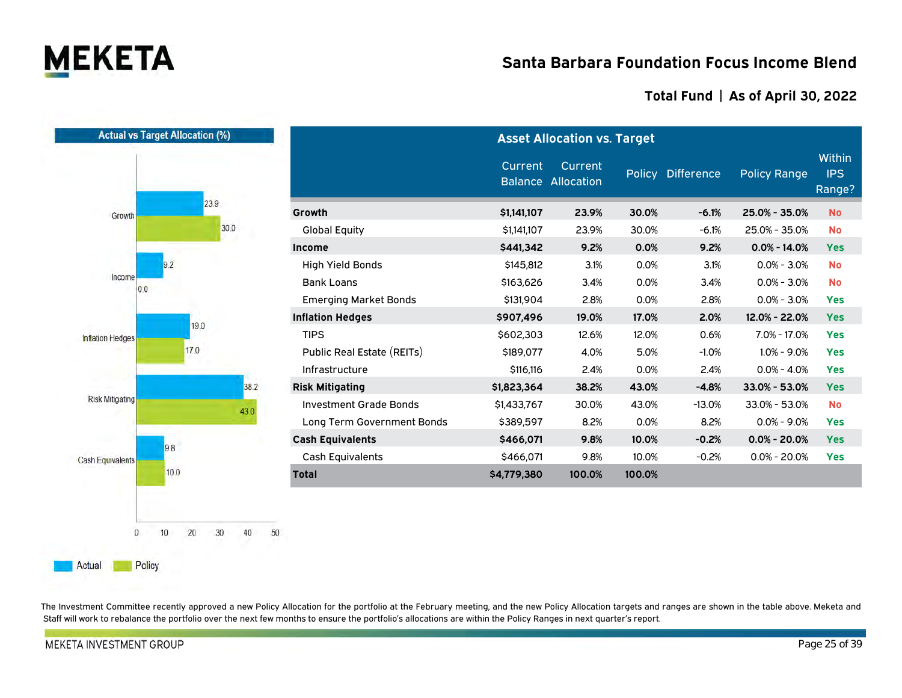

### **Total Fund | As of April 30, 2022**

|                         | <b>Actual vs Target Allocation (%)</b> | <b>Asset Allocation vs. Target</b> |             |                                      |        |                   |                     |                                |  |  |  |
|-------------------------|----------------------------------------|------------------------------------|-------------|--------------------------------------|--------|-------------------|---------------------|--------------------------------|--|--|--|
|                         |                                        |                                    | Current     | Current<br><b>Balance Allocation</b> |        | Policy Difference | <b>Policy Range</b> | <b>Within</b><br>IPS<br>Range? |  |  |  |
| Growth                  | 23.9                                   | Growth                             | \$1,141,107 | 23.9%                                | 30.0%  | $-6.1%$           | 25.0% - 35.0%       | <b>No</b>                      |  |  |  |
|                         | 30.0                                   | <b>Global Equity</b>               | \$1,141,107 | 23.9%                                | 30.0%  | $-6.1%$           | 25.0% - 35.0%       | <b>No</b>                      |  |  |  |
|                         |                                        | Income                             | \$441,342   | 9.2%                                 | 0.0%   | 9.2%              | $0.0\% - 14.0\%$    | <b>Yes</b>                     |  |  |  |
|                         | 9.2                                    | <b>High Yield Bonds</b>            | \$145,812   | 3.1%                                 | 0.0%   | 3.1%              | $0.0\% - 3.0\%$     | <b>No</b>                      |  |  |  |
| Income<br>0.0           |                                        | <b>Bank Loans</b>                  | \$163,626   | 3.4%                                 | 0.0%   | 3.4%              | $0.0\% - 3.0\%$     | <b>No</b>                      |  |  |  |
|                         |                                        | <b>Emerging Market Bonds</b>       | \$131,904   | 2.8%                                 | 0.0%   | 2.8%              | $0.0\% - 3.0\%$     | <b>Yes</b>                     |  |  |  |
|                         | 19.0                                   | <b>Inflation Hedges</b>            | \$907,496   | 19.0%                                | 17.0%  | 2.0%              | 12.0% - 22.0%       | <b>Yes</b>                     |  |  |  |
| Inflation Hedges        | 17.0                                   | <b>TIPS</b>                        | \$602,303   | 12.6%                                | 12.0%  | 0.6%              | 7.0% - 17.0%        | <b>Yes</b>                     |  |  |  |
|                         |                                        | Public Real Estate (REITs)         | \$189,077   | 4.0%                                 | 5.0%   | $-1.0%$           | $1.0\% - 9.0\%$     | <b>Yes</b>                     |  |  |  |
|                         |                                        | Infrastructure                     | \$116,116   | 2.4%                                 | 0.0%   | 2.4%              | $0.0\% - 4.0\%$     | <b>Yes</b>                     |  |  |  |
|                         | 38.2                                   | <b>Risk Mitigating</b>             | \$1,823,364 | 38.2%                                | 43.0%  | $-4.8%$           | 33.0% - 53.0%       | <b>Yes</b>                     |  |  |  |
| <b>Risk Mitigating</b>  | 43.0                                   | <b>Investment Grade Bonds</b>      | \$1,433,767 | 30.0%                                | 43.0%  | $-13.0%$          | 33.0% - 53.0%       | <b>No</b>                      |  |  |  |
|                         |                                        | Long Term Government Bonds         | \$389,597   | 8.2%                                 | 0.0%   | 8.2%              | $0.0\% - 9.0\%$     | <b>Yes</b>                     |  |  |  |
|                         | 9.8                                    | <b>Cash Equivalents</b>            | \$466,071   | 9.8%                                 | 10.0%  | $-0.2%$           | $0.0\% - 20.0\%$    | <b>Yes</b>                     |  |  |  |
| <b>Cash Equivalents</b> |                                        | <b>Cash Equivalents</b>            | \$466,071   | 9.8%                                 | 10.0%  | $-0.2%$           | $0.0\% - 20.0\%$    | <b>Yes</b>                     |  |  |  |
|                         | 10.0                                   | <b>Total</b>                       | \$4,779,380 | 100.0%                               | 100.0% |                   |                     |                                |  |  |  |
| $\mathbf{0}$            | 20<br>30<br>40<br>50<br>10             |                                    |             |                                      |        |                   |                     |                                |  |  |  |

The Investment Committee recently approved a new Policy Allocation for the portfolio at the February meeting, and the new Policy Allocation targets and ranges are shown in the table above. Meketa and Staff will work to rebalance the portfolio over the next few months to ensure the portfolio's allocations are within the Policy Ranges in next quarter's report.

**MEKETA INVESTMENT GROUP** 

Policy

Actual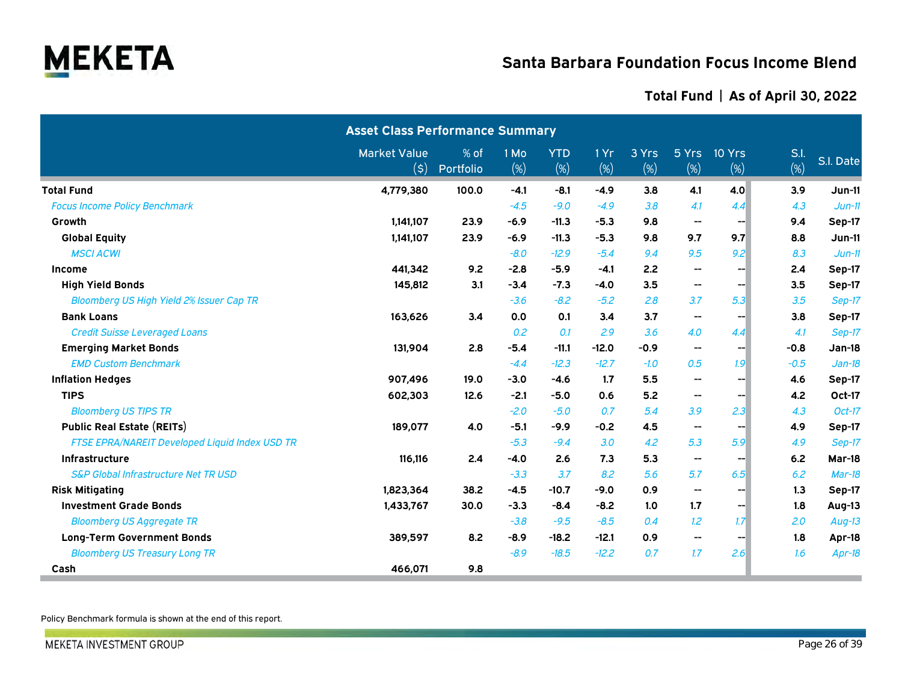

### **Total Fund | As of April 30, 2022**

|                                                       | <b>Asset Class Performance Summary</b> |                   |                |                   |             |              |                          |               |             |           |
|-------------------------------------------------------|----------------------------------------|-------------------|----------------|-------------------|-------------|--------------|--------------------------|---------------|-------------|-----------|
|                                                       | <b>Market Value</b><br>(\$)            | % of<br>Portfolio | 1 Mo<br>$(\%)$ | <b>YTD</b><br>(%) | 1 Yr<br>(%) | 3 Yrs<br>(%) | 5 Yrs<br>(%)             | 10 Yrs<br>(%) | S.l.<br>(%) | S.I. Date |
| <b>Total Fund</b>                                     | 4,779,380                              | 100.0             | $-4.1$         | $-8.1$            | $-4.9$      | 3.8          | 4.1                      | 4.0           | 3.9         | Jun-11    |
| <b>Focus Income Policy Benchmark</b>                  |                                        |                   | $-4.5$         | $-9.0$            | $-4.9$      | 3.8          | 4.1                      | 4.4           | 4.3         | $Jun-11$  |
| Growth                                                | 1,141,107                              | 23.9              | $-6.9$         | $-11.3$           | $-5.3$      | 9.8          | $\hspace{0.05cm}$        | --            | 9.4         | Sep-17    |
| <b>Global Equity</b>                                  | 1,141,107                              | 23.9              | $-6.9$         | $-11.3$           | $-5.3$      | 9.8          | 9.7                      | 9.7           | 8.8         | Jun-11    |
| <b>MSCI ACWI</b>                                      |                                        |                   | $-8.0$         | $-12.9$           | $-5.4$      | 9.4          | 9.5                      | 9.2           | 8.3         | $Jun-11$  |
| Income                                                | 441,342                                | 9.2               | $-2.8$         | $-5.9$            | $-4.1$      | 2.2          | $\hspace{0.05cm}$        | ---           | 2.4         | Sep-17    |
| <b>High Yield Bonds</b>                               | 145,812                                | 3.1               | $-3.4$         | $-7.3$            | $-4.0$      | 3.5          | --                       | --            | 3.5         | Sep-17    |
| <b>Bloomberg US High Yield 2% Issuer Cap TR</b>       |                                        |                   | $-3.6$         | $-8.2$            | $-5.2$      | 2.8          | 3.7                      | 5.3           | 3.5         | Sep-17    |
| <b>Bank Loans</b>                                     | 163,626                                | 3.4               | 0.0            | 0.1               | 3.4         | 3.7          | $\hspace{0.05cm}$        | --            | 3.8         | Sep-17    |
| <b>Credit Suisse Leveraged Loans</b>                  |                                        |                   | 0.2            | 0.1               | 2.9         | 3.6          | 4.0                      | 4.4           | 4.1         | Sep-17    |
| <b>Emerging Market Bonds</b>                          | 131,904                                | 2.8               | $-5.4$         | $-11.1$           | $-12.0$     | $-0.9$       | $\overline{\phantom{a}}$ | --1           | $-0.8$      | Jan-18    |
| <b>EMD Custom Benchmark</b>                           |                                        |                   | $-4.4$         | $-12.3$           | $-12.7$     | $-1.0$       | 0.5                      | 1.9           | $-0.5$      | $Jan-18$  |
| <b>Inflation Hedges</b>                               | 907,496                                | 19.0              | $-3.0$         | $-4.6$            | 1.7         | 5.5          | --                       | --1           | 4.6         | Sep-17    |
| <b>TIPS</b>                                           | 602,303                                | 12.6              | $-2.1$         | $-5.0$            | 0.6         | 5.2          | $\hspace{0.05cm}$        | --1           | 4.2         | Oct-17    |
| <b>Bloomberg US TIPS TR</b>                           |                                        |                   | $-2.0$         | $-5.0$            | 0.7         | 5.4          | 3.9                      | 2.3           | 4.3         | $Oct-17$  |
| <b>Public Real Estate (REITs)</b>                     | 189,077                                | 4.0               | $-5.1$         | $-9.9$            | $-0.2$      | 4.5          | $\overline{\phantom{a}}$ | --1           | 4.9         | Sep-17    |
| <b>FTSE EPRA/NAREIT Developed Liquid Index USD TR</b> |                                        |                   | $-5.3$         | $-9.4$            | 3.0         | 4.2          | 5.3                      | 5.9           | 4.9         | Sep-17    |
| Infrastructure                                        | 116,116                                | 2.4               | $-4.0$         | 2.6               | 7.3         | 5.3          | $\hspace{0.05cm}$        | --            | 6.2         | Mar-18    |
| <b>S&amp;P Global Infrastructure Net TR USD</b>       |                                        |                   | $-3.3$         | 3.7               | 8.2         | 5.6          | 5.7                      | 6.5           | 6.2         | Mar-18    |
| <b>Risk Mitigating</b>                                | 1,823,364                              | 38.2              | $-4.5$         | $-10.7$           | $-9.0$      | 0.9          | --                       | --1           | 1.3         | Sep-17    |
| <b>Investment Grade Bonds</b>                         | 1,433,767                              | 30.0              | $-3.3$         | $-8.4$            | $-8.2$      | 1.0          | 1.7                      | --1           | 1.8         | Aug-13    |
| <b>Bloomberg US Aggregate TR</b>                      |                                        |                   | $-3.8$         | $-9.5$            | $-8.5$      | 0.4          | 1.2                      | 1.7           | 2.0         | Aug-13    |
| <b>Long-Term Government Bonds</b>                     | 389,597                                | 8.2               | $-8.9$         | $-18.2$           | $-12.1$     | 0.9          | $\overline{\phantom{a}}$ | --1           | 1.8         | Apr-18    |
| <b>Bloomberg US Treasury Long TR</b>                  |                                        |                   | $-8.9$         | $-18.5$           | $-12.2$     | 0.7          | 1.7                      | 2.6           | 1.6         | Apr-18    |
| Cash                                                  | 466,071                                | 9.8               |                |                   |             |              |                          |               |             |           |

Policy Benchmark formula is shown at the end of this report.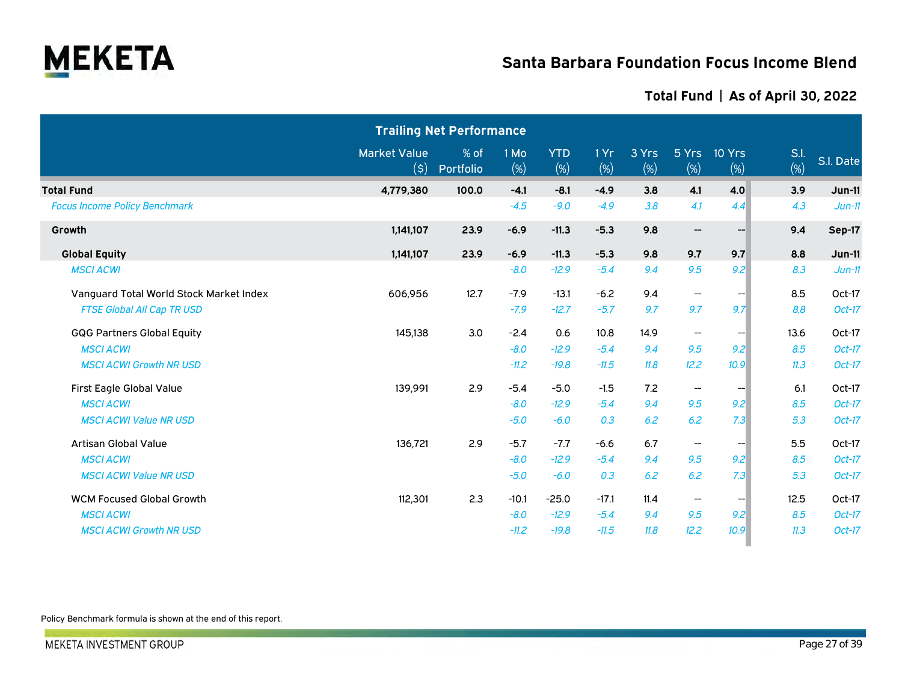

### **Total Fund | As of April 30, 2022**

|                                         |                                                    | <b>Trailing Net Performance</b> |             |                   |             |              |                                       |               |             |           |
|-----------------------------------------|----------------------------------------------------|---------------------------------|-------------|-------------------|-------------|--------------|---------------------------------------|---------------|-------------|-----------|
|                                         | <b>Market Value</b><br>$(\boldsymbol{\mathsf{S}})$ | % of<br>Portfolio               | 1 Mo<br>(%) | <b>YTD</b><br>(%) | 1 Yr<br>(%) | 3 Yrs<br>(%) | 5 Yrs<br>(%)                          | 10 Yrs<br>(%) | S.I.<br>(%) | S.I. Date |
| <b>Total Fund</b>                       | 4,779,380                                          | 100.0                           | $-4.1$      | $-8.1$            | $-4.9$      | 3.8          | 4.1                                   | 4.0           | 3.9         | $Jun-11$  |
| <b>Focus Income Policy Benchmark</b>    |                                                    |                                 | $-4.5$      | $-9.0$            | $-4.9$      | 3.8          | 4.1                                   | 4.4           | 4.3         | $Jun-11$  |
| Growth                                  | 1,141,107                                          | 23.9                            | $-6.9$      | $-11.3$           | $-5.3$      | 9.8          | $\hspace{0.05cm}$ – $\hspace{0.05cm}$ | --1           | 9.4         | Sep-17    |
| <b>Global Equity</b>                    | 1,141,107                                          | 23.9                            | $-6.9$      | $-11.3$           | $-5.3$      | 9.8          | 9.7                                   | 9.7           | 8.8         | $Jun-11$  |
| <b>MSCI ACWI</b>                        |                                                    |                                 | $-8.0$      | $-12.9$           | $-5.4$      | 9.4          | 9.5                                   | 9.2           | 8.3         | $Jun-11$  |
| Vanguard Total World Stock Market Index | 606,956                                            | 12.7                            | $-7.9$      | $-13.1$           | $-6.2$      | 9.4          | $\hspace{0.05cm}$ – $\hspace{0.05cm}$ | --1           | 8.5         | Oct-17    |
| <b>FTSE Global All Cap TR USD</b>       |                                                    |                                 | $-7.9$      | $-12.7$           | $-5.7$      | 9.7          | 9.7                                   | 9.7           | 8.8         | Oct-17    |
| <b>GQG Partners Global Equity</b>       | 145,138                                            | 3.0                             | $-2.4$      | 0.6               | 10.8        | 14.9         | --                                    |               | 13.6        | Oct-17    |
| <b>MSCI ACWI</b>                        |                                                    |                                 | $-8.0$      | $-12.9$           | $-5.4$      | 9.4          | 9.5                                   | 9.2           | 8.5         | $Oct-17$  |
| <b>MSCI ACWI Growth NR USD</b>          |                                                    |                                 | $-11.2$     | $-19.8$           | $-11.5$     | 11.8         | 12.2                                  | 10.9          | 11.3        | Oct-17    |
| First Eagle Global Value                | 139,991                                            | 2.9                             | $-5.4$      | $-5.0$            | $-1.5$      | 7.2          | $- -$                                 | --1           | 6.1         | Oct-17    |
| <b>MSCI ACWI</b>                        |                                                    |                                 | $-8.0$      | $-12.9$           | $-5.4$      | 9.4          | 9.5                                   | 9.2           | 8.5         | $Oct-17$  |
| <b>MSCI ACWI Value NR USD</b>           |                                                    |                                 | $-5.0$      | $-6.0$            | 0.3         | 6.2          | 6.2                                   | 7.3           | 5.3         | Oct-17    |
| Artisan Global Value                    | 136,721                                            | 2.9                             | $-5.7$      | $-7.7$            | $-6.6$      | 6.7          | $\overline{\phantom{a}}$              |               | 5.5         | Oct-17    |
| <b>MSCI ACWI</b>                        |                                                    |                                 | $-8.0$      | $-12.9$           | $-5.4$      | 9.4          | 9.5                                   | 9.2           | 8.5         | $Oct-17$  |
| <b>MSCI ACWI Value NR USD</b>           |                                                    |                                 | $-5.0$      | $-6.0$            | 0.3         | 6.2          | 6.2                                   | 7.3           | 5.3         | Oct-17    |
| <b>WCM Focused Global Growth</b>        | 112,301                                            | 2.3                             | $-10.1$     | $-25.0$           | $-17.1$     | 11.4         | $\overline{\phantom{m}}$              |               | 12.5        | Oct-17    |
| <b>MSCI ACWI</b>                        |                                                    |                                 | $-8.0$      | $-12.9$           | $-5.4$      | 9.4          | 9.5                                   | 9.2           | 8.5         | Oct-17    |
| <b>MSCI ACWI Growth NR USD</b>          |                                                    |                                 | $-11.2$     | $-19.8$           | $-11.5$     | 11.8         | 12.2                                  | 10.9          | 11.3        | $Oct-17$  |

Policy Benchmark formula is shown at the end of this report.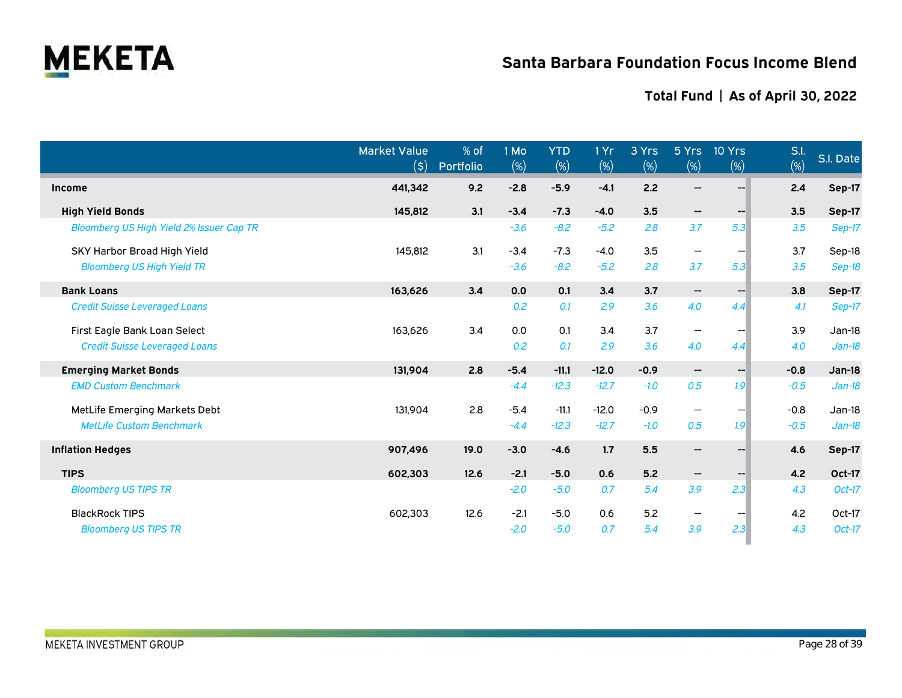

|                                                 | <b>Market Value</b><br>(\$) | % of<br>Portfolio | 1 Mo<br>$(\%)$ | <b>YTD</b><br>(%) | 1 Yr<br>$(\%)$ | 3 Yrs<br>$(\%)$ | 5 Yrs<br>$(\%)$                       | <b>10 Yrs</b><br>$(\%)$ | S.I.<br>$\overline{(\%)}$ | S.I. Date     |
|-------------------------------------------------|-----------------------------|-------------------|----------------|-------------------|----------------|-----------------|---------------------------------------|-------------------------|---------------------------|---------------|
| <b>Income</b>                                   | 441,342                     | 9.2               | $-2.8$         | $-5.9$            | $-4.1$         | 2.2             | --                                    |                         | 2.4                       | Sep-17        |
| <b>High Yield Bonds</b>                         | 145,812                     | 3.1               | $-3.4$         | $-7.3$            | $-4.0$         | 3.5             | $\hspace{0.05cm}$ ––                  | $-$                     | 3.5                       | <b>Sep-17</b> |
| <b>Bloomberg US High Yield 2% Issuer Cap TR</b> |                             |                   | $-3.6$         | $-8.2$            | $-5.2$         | 2.8             | 3.7                                   | 5.3                     | 3.5                       | Sep-17        |
| SKY Harbor Broad High Yield                     | 145,812                     | 3.1               | $-3.4$         | $-7.3$            | $-4.0$         | 3.5             | $\overline{\phantom{a}}$              | $- -$                   | 3.7                       | Sep-18        |
| <b>Bloomberg US High Yield TR</b>               |                             |                   | $-3.6$         | $-8.2$            | $-5.2$         | 2.8             | 3.7                                   | 5.3                     | 3.5                       | Sep-18        |
| <b>Bank Loans</b>                               | 163,626                     | 3.4               | 0.0            | 0.1               | 3.4            | 3.7             | ÷                                     | $- - 1$                 | 3.8                       | <b>Sep-17</b> |
| <b>Credit Suisse Leveraged Loans</b>            |                             |                   | 0.2            | 0.1               | 2.9            | 3.6             | 4.0                                   | 4.4                     | 4.1                       | Sep-17        |
| First Eagle Bank Loan Select                    | 163,626                     | 3.4               | 0.0            | 0.1               | 3.4            | 3.7             | $\overline{\phantom{a}}$              | $\hspace{0.05cm}$       | 3.9                       | $Jan-18$      |
| <b>Credit Suisse Leveraged Loans</b>            |                             |                   | 0.2            | 0.1               | 2.9            | 3.6             | 4.0                                   | 4.4                     | 4.0                       | $Jan-18$      |
| <b>Emerging Market Bonds</b>                    | 131,904                     | 2.8               | $-5.4$         | $-11.1$           | $-12.0$        | $-0.9$          | $-\!$                                 | $-$                     | $-0.8$                    | <b>Jan-18</b> |
| <b>EMD Custom Benchmark</b>                     |                             |                   | $-4.4$         | $-12.3$           | $-12.7$        | $-1.0$          | 0.5                                   | 1.9                     | $-0.5$                    | $Jan-18$      |
| MetLife Emerging Markets Debt                   | 131,904                     | 2.8               | $-5.4$         | $-11.1$           | $-12.0$        | $-0.9$          | $\hspace{0.05cm}$                     |                         | $-0.8$                    | Jan-18        |
| <b>MetLife Custom Benchmark</b>                 |                             |                   | $-4.4$         | $-12.3$           | $-12.7$        | $-1.0$          | 0.5                                   | 1.9                     | $-0.5$                    | $Jan-18$      |
| <b>Inflation Hedges</b>                         | 907,496                     | 19.0              | $-3.0$         | $-4.6$            | 1.7            | 5.5             | $\hspace{0.05cm}$ – $\hspace{0.05cm}$ | --1                     | 4.6                       | Sep-17        |
| <b>TIPS</b>                                     | 602,303                     | 12.6              | $-2.1$         | $-5.0$            | 0.6            | 5.2             | $\hspace{0.05cm}$ $\hspace{0.05cm}$   | --1                     | 4.2                       | Oct-17        |
| <b>Bloomberg US TIPS TR</b>                     |                             |                   | $-2.0$         | $-5.0$            | 0.7            | 5.4             | 3.9                                   | 2.3                     | 4.3                       | $Oct-17$      |
| <b>BlackRock TIPS</b>                           | 602,303                     | 12.6              | $-2.1$         | $-5.0$            | 0.6            | 5.2             | $\overline{\phantom{a}}$              |                         | 4.2                       | Oct-17        |
| <b>Bloomberg US TIPS TR</b>                     |                             |                   | $-2.0$         | $-5.0$            | 0.7            | 5.4             | 3.9                                   | 2.3                     | 4.3                       | $Oct-17$      |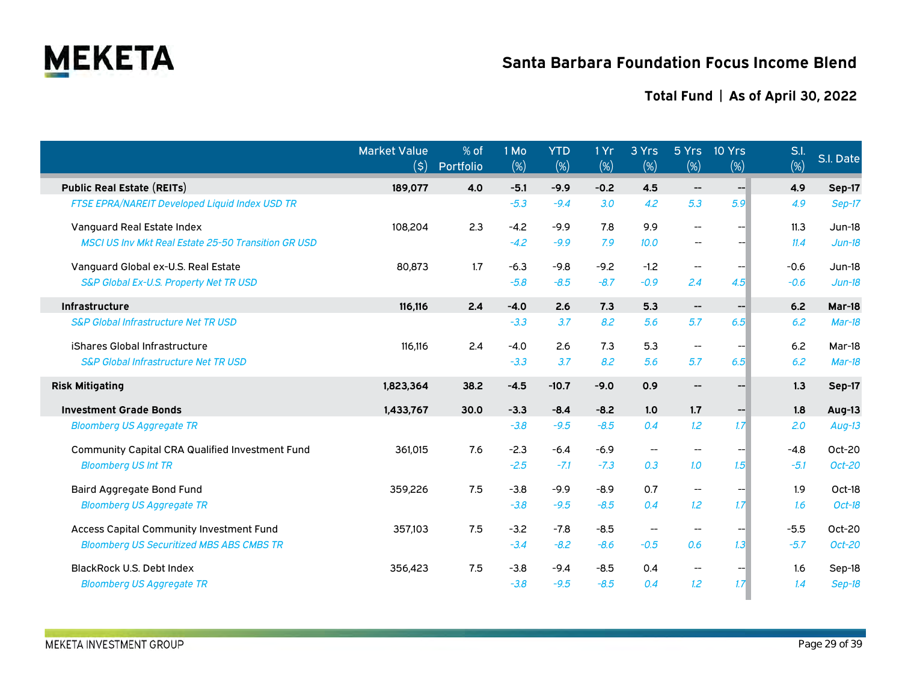

|                                                            | <b>Market Value</b><br>(\$) | % of<br>Portfolio | 1 Mo<br>(%) | <b>YTD</b><br>(%) | 1Yr<br>(%) | 3 Yrs<br>$(\%)$          | (%)                                 | 5 Yrs 10 Yrs<br>$(\%)$ | S.l.<br>(%) | S.l. Date     |
|------------------------------------------------------------|-----------------------------|-------------------|-------------|-------------------|------------|--------------------------|-------------------------------------|------------------------|-------------|---------------|
| <b>Public Real Estate (REITs)</b>                          | 189,077                     | 4.0               | $-5.1$      | $-9.9$            | $-0.2$     | 4.5                      | $\hspace{0.05cm}$ $\hspace{0.05cm}$ | $--$                   | 4.9         | Sep-17        |
| <b>FTSE EPRA/NAREIT Developed Liquid Index USD TR</b>      |                             |                   | $-5.3$      | $-9.4$            | 3.0        | 4.2                      | 5.3                                 | 5.9                    | 4.9         | Sep-17        |
| Vanguard Real Estate Index                                 | 108,204                     | 2.3               | $-4.2$      | $-9.9$            | 7.8        | 9.9                      | $-$                                 |                        | 11.3        | $Jun-18$      |
| <b>MSCI US Inv Mkt Real Estate 25-50 Transition GR USD</b> |                             |                   | $-4.2$      | $-9.9$            | 7.9        | 10.0                     | $\overline{\phantom{m}}$            |                        | 11.4        | $Jun-18$      |
| Vanguard Global ex-U.S. Real Estate                        | 80.873                      | 1.7               | $-6.3$      | $-9.8$            | $-9.2$     | $-1.2$                   | --                                  | $-$                    | $-0.6$      | Jun-18        |
| S&P Global Ex-U.S. Property Net TR USD                     |                             |                   | $-5.8$      | $-8.5$            | $-8.7$     | $-0.9$                   | 2.4                                 | 4.5                    | $-0.6$      | $Jun-18$      |
| Infrastructure                                             | 116,116                     | 2.4               | $-4.0$      | 2.6               | 7.3        | 5.3                      | $\hspace{0.05cm}$ $\hspace{0.05cm}$ | $- -$                  | 6.2         | Mar-18        |
| <b>S&amp;P Global Infrastructure Net TR USD</b>            |                             |                   | $-3.3$      | 3.7               | 8.2        | 5.6                      | 5.7                                 | 6.5                    | 6.2         | $Mar-18$      |
| iShares Global Infrastructure                              | 116,116                     | 2.4               | $-4.0$      | 2.6               | 7.3        | 5.3                      | $\overline{\phantom{a}}$            | --                     | 6.2         | Mar-18        |
| <b>S&amp;P Global Infrastructure Net TR USD</b>            |                             |                   | $-3.3$      | 3.7               | 8.2        | 5.6                      | 5.7                                 | 6.5                    | 6.2         | $Mar-18$      |
| <b>Risk Mitigating</b>                                     | 1,823,364                   | 38.2              | $-4.5$      | $-10.7$           | $-9.0$     | 0.9                      | --                                  | --                     | 1.3         | Sep-17        |
| <b>Investment Grade Bonds</b>                              | 1,433,767                   | 30.0              | $-3.3$      | $-8.4$            | $-8.2$     | 1.0                      | 1.7                                 | --1                    | 1.8         | Aug-13        |
| <b>Bloomberg US Aggregate TR</b>                           |                             |                   | $-3.8$      | $-9.5$            | $-8.5$     | 0.4                      | 1.2                                 | 1.7 <sup>°</sup>       | 2.0         | $Aug-13$      |
| <b>Community Capital CRA Qualified Investment Fund</b>     | 361,015                     | 7.6               | $-2.3$      | $-6.4$            | $-6.9$     | $\overline{\phantom{a}}$ | --                                  |                        | $-4.8$      | Oct-20        |
| <b>Bloomberg US Int TR</b>                                 |                             |                   | $-2.5$      | $-7.1$            | $-7.3$     | 0.3                      | 1.0                                 | 1.5                    | $-5.1$      | Oct-20        |
| <b>Baird Aggregate Bond Fund</b>                           | 359,226                     | 7.5               | $-3.8$      | $-9.9$            | $-8.9$     | 0.7                      | --                                  |                        | 1.9         | Oct-18        |
| <b>Bloomberg US Aggregate TR</b>                           |                             |                   | $-3.8$      | $-9.5$            | $-8.5$     | 0.4                      | 1.2                                 | 1.7                    | 1.6         | Oct-18        |
| Access Capital Community Investment Fund                   | 357,103                     | 7.5               | $-3.2$      | $-7.8$            | $-8.5$     | $\overline{\phantom{m}}$ | --                                  |                        | $-5.5$      | Oct-20        |
| <b>Bloomberg US Securitized MBS ABS CMBS TR</b>            |                             |                   | $-3.4$      | $-8.2$            | $-8.6$     | $-0.5$                   | 0.6                                 | 1.3                    | $-5.7$      | Oct-20        |
| <b>BlackRock U.S. Debt Index</b>                           | 356,423                     | 7.5               | $-3.8$      | $-9.4$            | $-8.5$     | 0.4                      | --                                  |                        | 1.6         | Sep-18        |
| <b>Bloomberg US Aggregate TR</b>                           |                             |                   | $-3.8$      | $-9.5$            | $-8.5$     | 0.4                      | 1.2                                 | 1.7                    | 1.4         | <b>Sep-18</b> |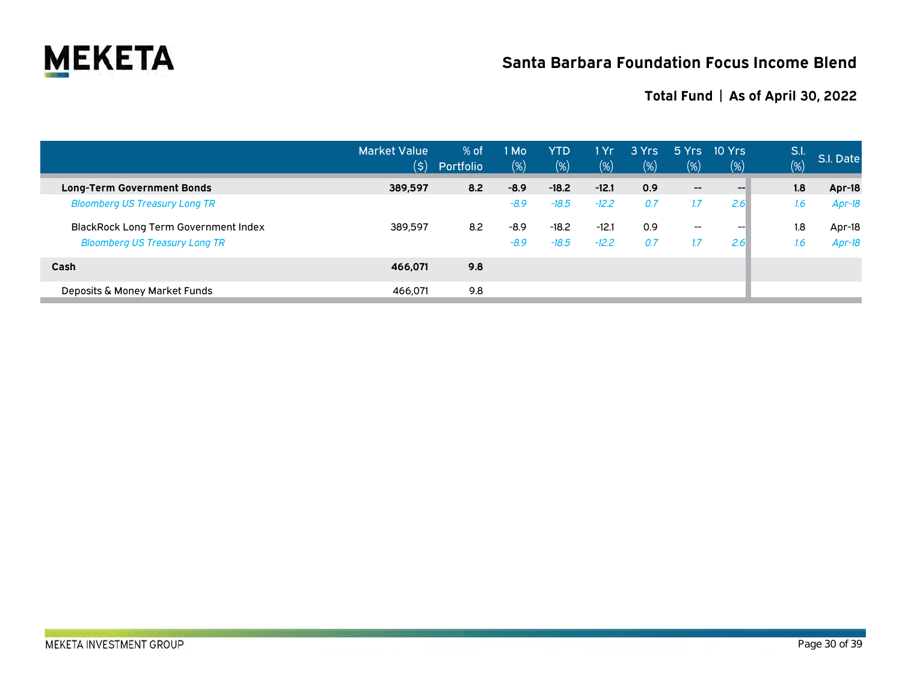

|                                             | <b>Market Value</b><br>$(\boldsymbol{\zeta})$ | $%$ of<br>Portfolio | 1 Mo<br>(%) | <b>YTD</b><br>(%) | 1 Yr<br>(%) | 3 Yrs<br>(%) | 5Yrs<br>$(\%)$           | 10 Yrs<br>$(\%)$ | S.I.<br>(%) | S.I. Date |
|---------------------------------------------|-----------------------------------------------|---------------------|-------------|-------------------|-------------|--------------|--------------------------|------------------|-------------|-----------|
| <b>Long-Term Government Bonds</b>           | 389,597                                       | 8.2                 | $-8.9$      | $-18.2$           | $-12.1$     | 0.9          | $-\!$                    | $-$              | 1.8         | Apr-18    |
| <b>Bloomberg US Treasury Long TR</b>        |                                               |                     | $-8.9$      | $-18.5$           | $-12.2$     | 0.7          | 1.7                      | 2.6              | 1.6         | $Apr-18$  |
| <b>BlackRock Long Term Government Index</b> | 389.597                                       | 8.2                 | $-8.9$      | $-18.2$           | $-12.1$     | 0.9          | $\overline{\phantom{a}}$ | $- -$            | 1.8         | Apr-18    |
| <b>Bloomberg US Treasury Long TR</b>        |                                               |                     | $-8.9$      | $-18.5$           | $-12.2$     | 0.7          |                          | 2.6              | 1.6         | $Apr-18$  |
| Cash                                        | 466.071                                       | 9.8                 |             |                   |             |              |                          |                  |             |           |
| Deposits & Money Market Funds               | 466,071                                       | 9.8                 |             |                   |             |              |                          |                  |             |           |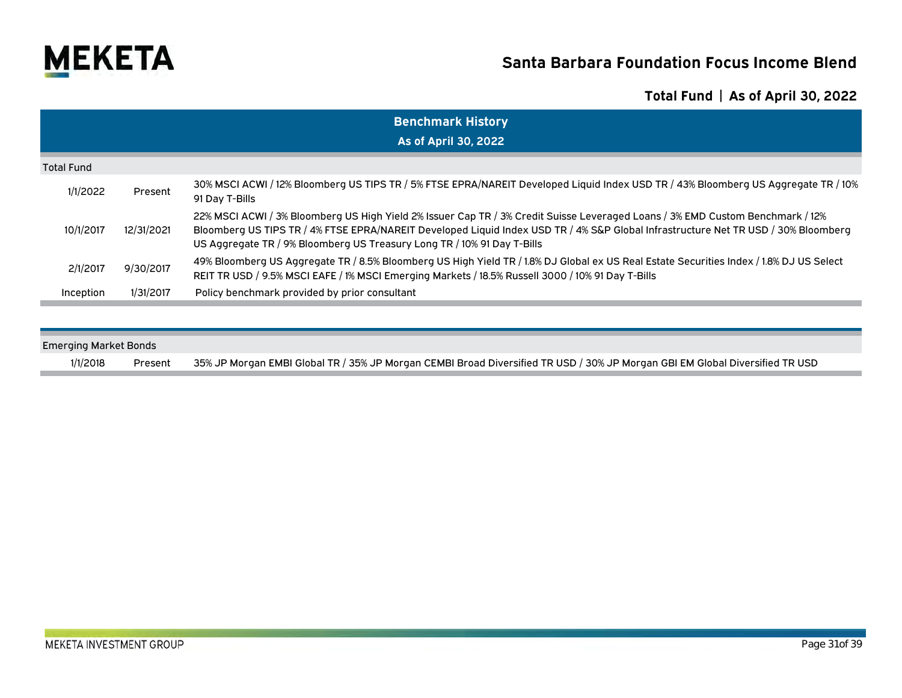

|                   | <b>Benchmark History</b> |                                                                                                                                                                                                                                                                                                                                                 |  |  |  |  |  |  |  |
|-------------------|--------------------------|-------------------------------------------------------------------------------------------------------------------------------------------------------------------------------------------------------------------------------------------------------------------------------------------------------------------------------------------------|--|--|--|--|--|--|--|
|                   |                          | <b>As of April 30, 2022</b>                                                                                                                                                                                                                                                                                                                     |  |  |  |  |  |  |  |
| <b>Total Fund</b> |                          |                                                                                                                                                                                                                                                                                                                                                 |  |  |  |  |  |  |  |
| 1/1/2022          | Present                  | 30% MSCI ACWI / 12% Bloomberg US TIPS TR / 5% FTSE EPRA/NAREIT Developed Liquid Index USD TR / 43% Bloomberg US Aggregate TR / 10%<br>91 Day T-Bills                                                                                                                                                                                            |  |  |  |  |  |  |  |
| 10/1/2017         | 12/31/2021               | 22% MSCI ACWI / 3% Bloomberg US High Yield 2% Issuer Cap TR / 3% Credit Suisse Leveraged Loans / 3% EMD Custom Benchmark / 12%<br>Bloomberg US TIPS TR / 4% FTSE EPRA/NAREIT Developed Liquid Index USD TR / 4% S&P Global Infrastructure Net TR USD / 30% Bloomberg<br>US Aggregate TR / 9% Bloomberg US Treasury Long TR / 10% 91 Day T-Bills |  |  |  |  |  |  |  |
| 2/1/2017          | 9/30/2017                | 49% Bloomberg US Aggregate TR / 8.5% Bloomberg US High Yield TR / 1.8% DJ Global ex US Real Estate Securities Index / 1.8% DJ US Select<br>REIT TR USD / 9.5% MSCI EAFE / 1% MSCI Emerging Markets / 18.5% Russell 3000 / 10% 91 Day T-Bills                                                                                                    |  |  |  |  |  |  |  |
| Inception         | 1/31/2017                | Policy benchmark provided by prior consultant                                                                                                                                                                                                                                                                                                   |  |  |  |  |  |  |  |

| <b>Emerging Market Bonds</b> |         |                                                                                                                              |  |  |  |  |  |  |
|------------------------------|---------|------------------------------------------------------------------------------------------------------------------------------|--|--|--|--|--|--|
| 1/1/2018                     | Present | 35% JP Morgan EMBI Global TR / 35% JP Morgan CEMBI Broad Diversified TR USD / 30% JP Morgan GBI EM Global Diversified TR USD |  |  |  |  |  |  |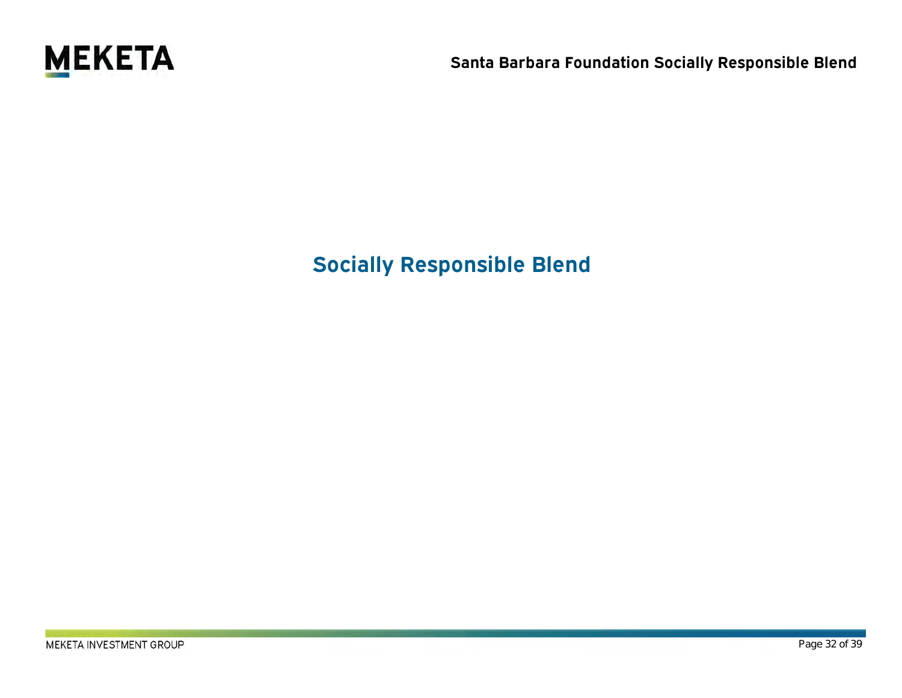

# **Socially Responsible Blend**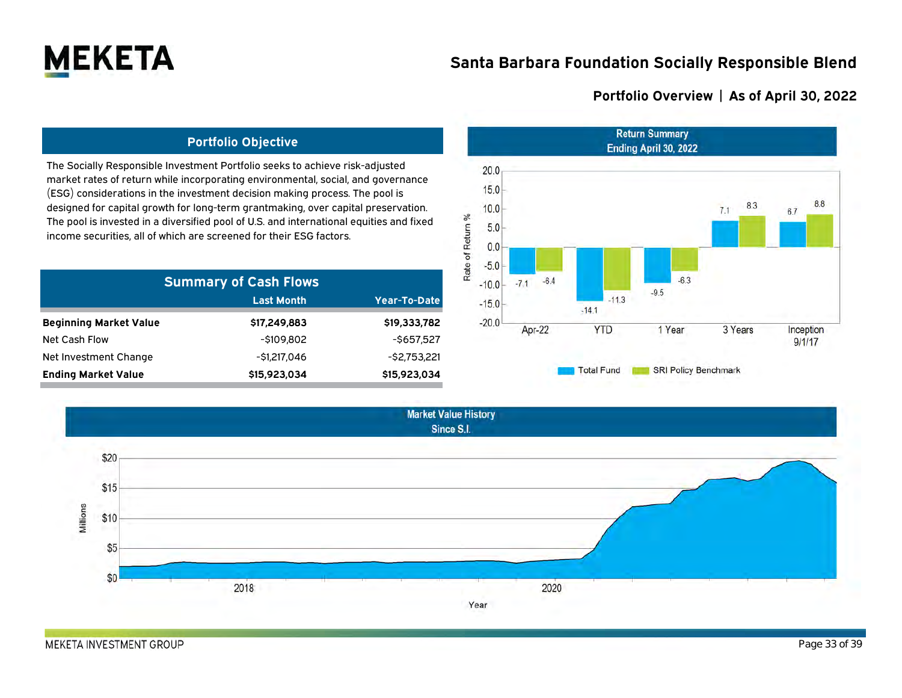

### **Portfolio Overview | As of April 30, 2022**

### **Portfolio Objective**

The Socially Responsible Investment Portfolio seeks to achieve risk-adjusted market rates of return while incorporating environmental, social, and governance (ESG) considerations in the investment decision making process. The pool is designed for capital growth for long-term grantmaking, over capital preservation. The pool is invested in a diversified pool of U.S. and international equities and fixed income securities, all of which are screened for their ESG factors.

| <b>Summary of Cash Flows</b>  |                   |                 |  |  |  |  |  |  |
|-------------------------------|-------------------|-----------------|--|--|--|--|--|--|
|                               | <b>Last Month</b> | Year-To-Date    |  |  |  |  |  |  |
| <b>Beginning Market Value</b> | \$17,249,883      | \$19,333,782    |  |  |  |  |  |  |
| Net Cash Flow                 | $-$ \$109.802     | $-$ \$657.527   |  |  |  |  |  |  |
| Net Investment Change         | -\$1,217,046      | $-$ \$2,753,221 |  |  |  |  |  |  |
| <b>Ending Market Value</b>    | \$15,923,034      | \$15,923,034    |  |  |  |  |  |  |



**Market Value History** Since S.I. \$20 \$15 Millions \$10 \$5  $$0$ 2018 2020 Year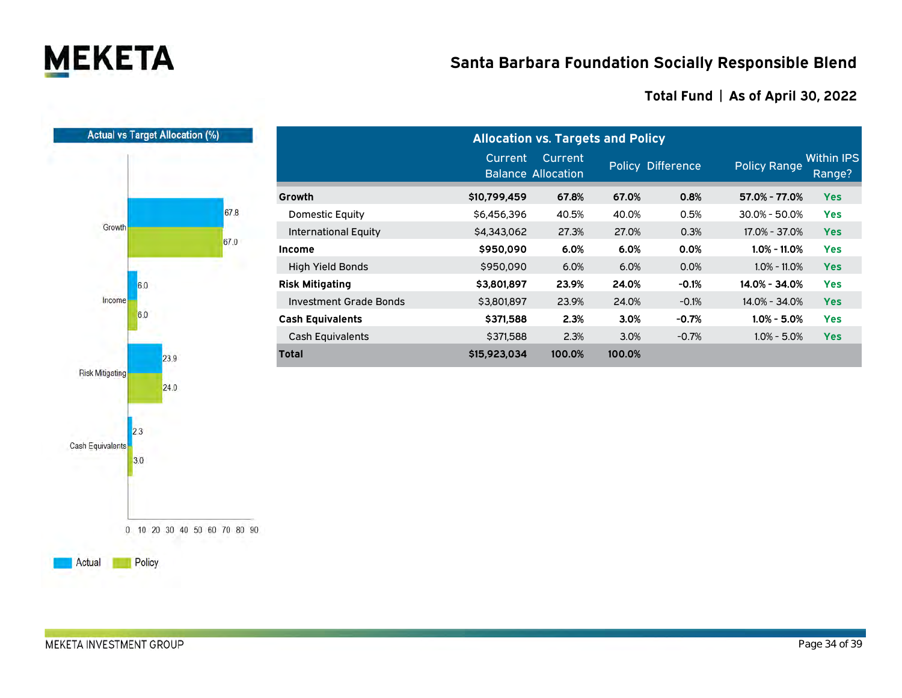

|                         |              | 67.8 |
|-------------------------|--------------|------|
| Growth                  |              | 67.0 |
| Income                  | 6.0<br>6.0   |      |
| <b>Risk Mitigating</b>  | 23,9<br>24.0 |      |
| <b>Cash Equivalents</b> | 2.3<br>3.0   |      |
|                         |              |      |

|                               | <b>Allocation vs. Targets and Policy</b> |                |        |                   |                     |                             |  |  |
|-------------------------------|------------------------------------------|----------------|--------|-------------------|---------------------|-----------------------------|--|--|
|                               | Current<br><b>Balance Allocation</b>     | <b>Current</b> |        | Policy Difference | <b>Policy Range</b> | <b>Within IPS</b><br>Range? |  |  |
| Growth                        | \$10,799,459                             | 67.8%          | 67.0%  | 0.8%              | 57.0% - 77.0%       | <b>Yes</b>                  |  |  |
| <b>Domestic Equity</b>        | \$6,456,396                              | 40.5%          | 40.0%  | 0.5%              | $30.0\% - 50.0\%$   | <b>Yes</b>                  |  |  |
| <b>International Equity</b>   | \$4,343,062                              | 27.3%          | 27.0%  | 0.3%              | 17.0% - 37.0%       | <b>Yes</b>                  |  |  |
| Income                        | \$950,090                                | 6.0%           | 6.0%   | 0.0%              | $1.0\% - 11.0\%$    | <b>Yes</b>                  |  |  |
| <b>High Yield Bonds</b>       | \$950,090                                | 6.0%           | 6.0%   | 0.0%              | $1.0\% - 11.0\%$    | <b>Yes</b>                  |  |  |
| Risk Mitigating               | \$3,801,897                              | 23.9%          | 24.0%  | $-0.1%$           | 14.0% - 34.0%       | <b>Yes</b>                  |  |  |
| <b>Investment Grade Bonds</b> | \$3,801,897                              | 23.9%          | 24.0%  | $-0.1%$           | 14.0% - 34.0%       | <b>Yes</b>                  |  |  |
| <b>Cash Equivalents</b>       | \$371,588                                | 2.3%           | 3.0%   | $-0.7%$           | $1.0\% - 5.0\%$     | <b>Yes</b>                  |  |  |
| <b>Cash Equivalents</b>       | \$371,588                                | 2.3%           | 3.0%   | $-0.7%$           | $1.0\% - 5.0\%$     | <b>Yes</b>                  |  |  |
| Total                         | \$15,923,034                             | 100.0%         | 100.0% |                   |                     |                             |  |  |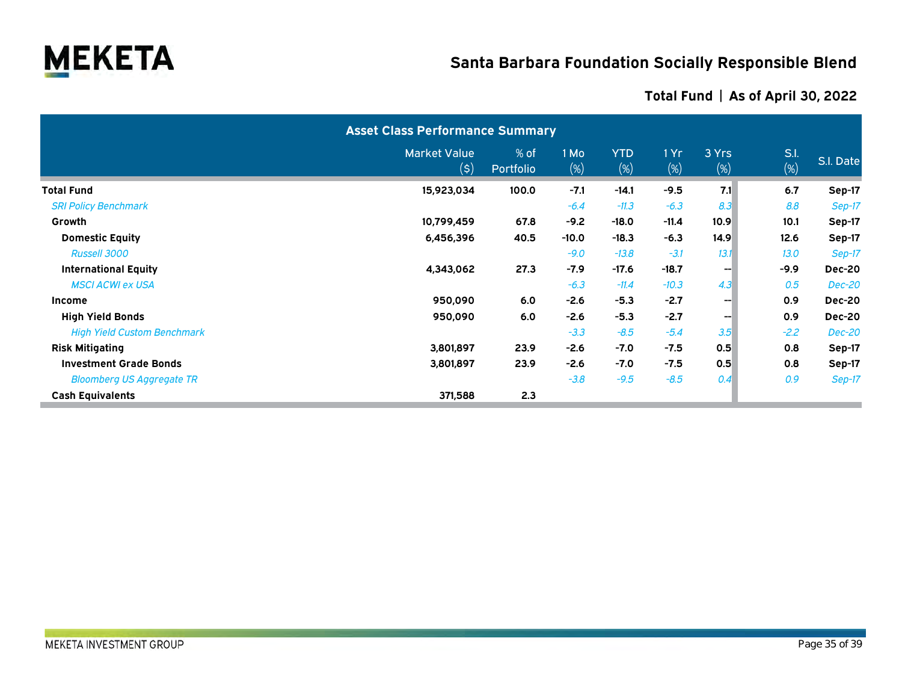

### **Asset Class Performance Summary** Market Value  $(5)$ % of Portfolio 1 Mo (%) YTD (%) 1 Yr (%) 3 Yrs (%) S.I.  $\frac{5.1}{\binom{96}{}}$  S.I. Date **Total Fund 15,923,034 100.0 -7.1 -14.1 -9.5 7.1 6.7 Sep-17** *SRI Policy Benchmark -6.4 -11.3 -6.3 8.3 8.8 Sep-17* **Growth 10,799,459 67.8 -9.2 -18.0 -11.4 10.9 10.1 Sep-17 Domestic Equity 6,456,396 40.5 -10.0 -18.3 -6.3 14.9 12.6 Sep-17** *Russell 3000 -9.0 -13.8 -3.1 13.1 13.0 Sep-17* **International Equity 4,343,062 27.3 -7.9 -17.6 -18.7 -- -9.9 Dec-20** *MSCI ACWI ex USA -6.3 -11.4 -10.3 4.3 0.5 Dec-20* **Income 950,090 6.0 -2.6 -5.3 -2.7 -- 0.9 Dec-20 High Yield Bonds 950,090 6.0 -2.6 -5.3 -2.7 -- 0.9 Dec-20** *High Yield Custom Benchmark -3.3 -8.5 -5.4 3.5 -2.2 Dec-20* **Risk Mitigating 3,801,897 23.9 -2.6 -7.0 -7.5 0.5 0.8 Sep-17 Investment Grade Bonds 3,801,897 23.9 -2.6 -7.0 -7.5 0.5 0.8 Sep-17** *Bloomberg US Aggregate TR -3.8 -9.5 -8.5 0.4 0.9 Sep-17* **Cash Equivalents 371,588 2.3**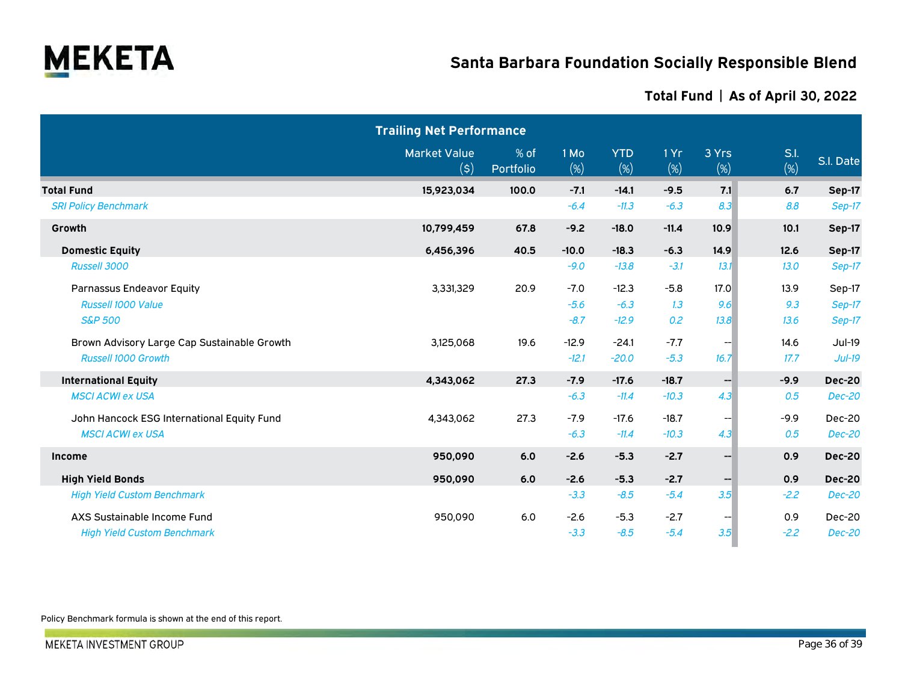

|                                             | <b>Trailing Net Performance</b>                    |                   |             |                   |               |                 |                |               |
|---------------------------------------------|----------------------------------------------------|-------------------|-------------|-------------------|---------------|-----------------|----------------|---------------|
|                                             | <b>Market Value</b><br>$(\boldsymbol{\mathsf{s}})$ | % of<br>Portfolio | 1 Mo<br>(%) | <b>YTD</b><br>(%) | 1Yr<br>$(\%)$ | 3 Yrs<br>$(\%)$ | S.I.<br>$(\%)$ | S.I. Date     |
| <b>Total Fund</b>                           | 15,923,034                                         | 100.0             | $-7.1$      | $-14.1$           | $-9.5$        | 7.1             | 6.7            | Sep-17        |
| <b>SRI Policy Benchmark</b>                 |                                                    |                   | $-6.4$      | $-11.3$           | $-6.3$        | 8.3             | 8.8            | Sep-17        |
| Growth                                      | 10,799,459                                         | 67.8              | $-9.2$      | $-18.0$           | $-11.4$       | 10.9            | 10.1           | <b>Sep-17</b> |
| <b>Domestic Equity</b>                      | 6,456,396                                          | 40.5              | $-10.0$     | $-18.3$           | $-6.3$        | 14.9            | 12.6           | Sep-17        |
| Russell 3000                                |                                                    |                   | $-9.0$      | $-13.8$           | $-3.1$        | 13.1            | 13.0           | Sep-17        |
| Parnassus Endeavor Equity                   | 3,331,329                                          | 20.9              | $-7.0$      | $-12.3$           | $-5.8$        | 17.0            | 13.9           | Sep-17        |
| Russell 1000 Value                          |                                                    |                   | $-5.6$      | $-6.3$            | 1.3           | 9.6             | 9.3            | Sep-17        |
| <b>S&amp;P 500</b>                          |                                                    |                   | $-8.7$      | $-12.9$           | 0.2           | 13.8            | 13.6           | Sep-17        |
| Brown Advisory Large Cap Sustainable Growth | 3,125,068                                          | 19.6              | $-12.9$     | $-24.1$           | $-7.7$        | --1             | 14.6           | Jul-19        |
| <b>Russell 1000 Growth</b>                  |                                                    |                   | $-12.1$     | $-20.0$           | $-5.3$        | 16.7            | 17.7           | $Jul-19$      |
| <b>International Equity</b>                 | 4,343,062                                          | 27.3              | $-7.9$      | $-17.6$           | $-18.7$       | --1             | $-9.9$         | <b>Dec-20</b> |
| <b>MSCI ACWI ex USA</b>                     |                                                    |                   | $-6.3$      | $-11.4$           | $-10.3$       | 4.3             | 0.5            | Dec-20        |
| John Hancock ESG International Equity Fund  | 4,343,062                                          | 27.3              | $-7.9$      | $-17.6$           | $-18.7$       | --1             | $-9.9$         | Dec-20        |
| <b>MSCI ACWI ex USA</b>                     |                                                    |                   | $-6.3$      | $-11.4$           | $-10.3$       | 4.3             | 0.5            | <b>Dec-20</b> |
| <b>Income</b>                               | 950,090                                            | 6.0               | $-2.6$      | $-5.3$            | $-2.7$        | $--$            | 0.9            | <b>Dec-20</b> |
| <b>High Yield Bonds</b>                     | 950,090                                            | 6.0               | $-2.6$      | $-5.3$            | $-2.7$        | --              | 0.9            | <b>Dec-20</b> |
| <b>High Yield Custom Benchmark</b>          |                                                    |                   | $-3.3$      | $-8.5$            | $-5.4$        | 3.5             | $-2.2$         | <b>Dec-20</b> |
| AXS Sustainable Income Fund                 | 950,090                                            | 6.0               | $-2.6$      | $-5.3$            | $-2.7$        | --1             | 0.9            | Dec-20        |
| <b>High Yield Custom Benchmark</b>          |                                                    |                   | $-3.3$      | $-8.5$            | $-5.4$        | 3.5             | $-2.2$         | <b>Dec-20</b> |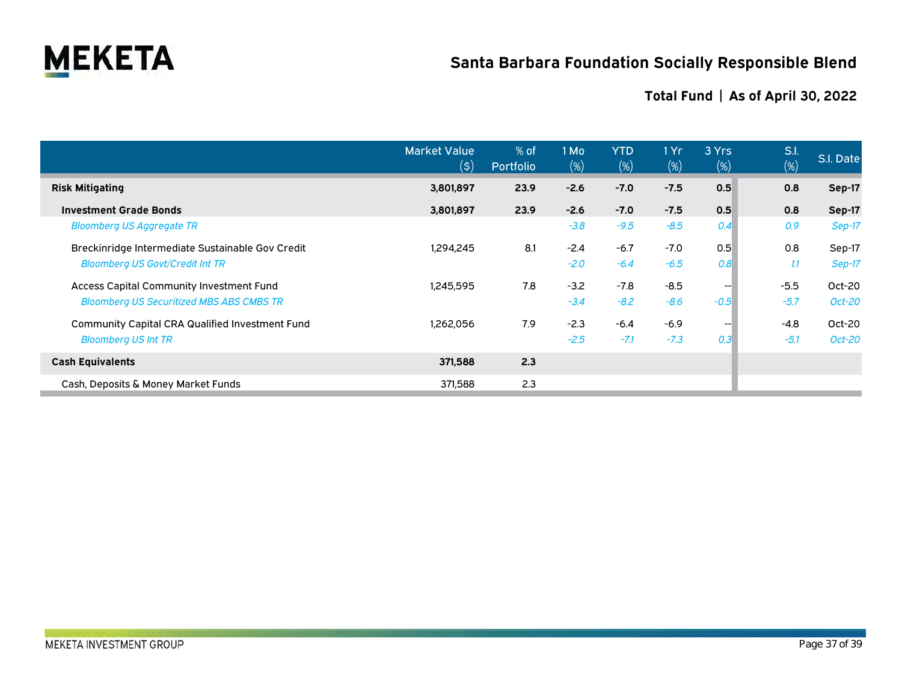

|                                                        | <b>Market Value</b><br>(\$) | % of<br>Portfolio | 1 Mo<br>$(\%)$ | <b>YTD</b><br>$(\%)$ | 1 Yr<br>$(\%)$ | 3 Yrs<br>$(\%)$      | S.l.<br>$(\%)$ | S.I. Date |
|--------------------------------------------------------|-----------------------------|-------------------|----------------|----------------------|----------------|----------------------|----------------|-----------|
| <b>Risk Mitigating</b>                                 | 3,801,897                   | 23.9              | $-2.6$         | $-7.0$               | $-7.5$         | 0.5                  | 0.8            | Sep-17    |
| <b>Investment Grade Bonds</b>                          | 3,801,897                   | 23.9              | $-2.6$         | $-7.0$               | $-7.5$         | 0.5                  | 0.8            | Sep-17    |
| <b>Bloomberg US Aggregate TR</b>                       |                             |                   | $-3.8$         | $-9.5$               | $-8.5$         | 0.4                  | 0.9            | Sep-17    |
| Breckinridge Intermediate Sustainable Gov Credit       | 1,294,245                   | 8.1               | $-2.4$         | $-6.7$               | $-7.0$         | 0.5                  | 0.8            | Sep-17    |
| <b>Bloomberg US Govt/Credit Int TR</b>                 |                             |                   | $-2.0$         | $-6.4$               | $-6.5$         | 0.8                  | 1.1            | Sep-17    |
| <b>Access Capital Community Investment Fund</b>        | 1,245,595                   | 7.8               | $-3.2$         | $-7.8$               | $-8.5$         | ---                  | $-5.5$         | $Oct-20$  |
| <b>Bloomberg US Securitized MBS ABS CMBS TR</b>        |                             |                   | $-3.4$         | $-8.2$               | $-8.6$         | $-0.5$               | $-5.7$         | Oct-20    |
| <b>Community Capital CRA Qualified Investment Fund</b> | 1,262,056                   | 7.9               | $-2.3$         | $-6.4$               | $-6.9$         | $\left. - - \right $ | $-4.8$         | Oct-20    |
| <b>Bloomberg US Int TR</b>                             |                             |                   | $-2.5$         | $-7.1$               | $-7.3$         | 0.3                  | $-5.1$         | Oct-20    |
| <b>Cash Equivalents</b>                                | 371,588                     | 2.3               |                |                      |                |                      |                |           |
| Cash, Deposits & Money Market Funds                    | 371,588                     | 2.3               |                |                      |                |                      |                |           |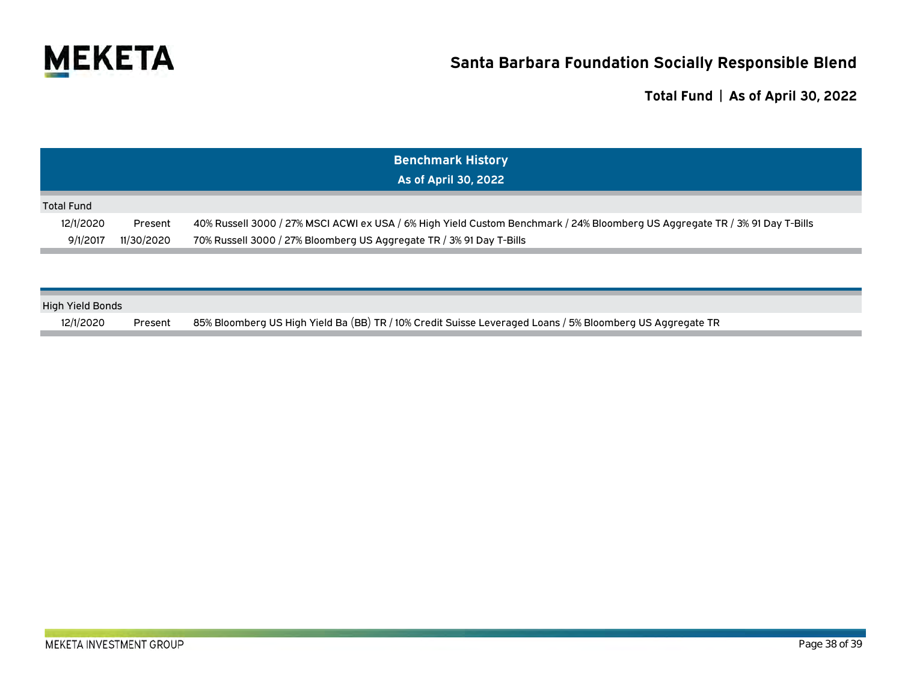

|                   |            | <b>Benchmark History</b><br>As of April 30, 2022                                                                             |
|-------------------|------------|------------------------------------------------------------------------------------------------------------------------------|
| <b>Total Fund</b> |            |                                                                                                                              |
| 12/1/2020         | Present    | 40% Russell 3000 / 27% MSCI ACWI ex USA / 6% High Yield Custom Benchmark / 24% Bloomberg US Aggregate TR / 3% 91 Day T-Bills |
| 9/1/2017          | 11/30/2020 | 70% Russell 3000 / 27% Bloomberg US Aggregate TR / 3% 91 Day T-Bills                                                         |

| <b>High Yield Bonds</b> |         |                                                                                                           |
|-------------------------|---------|-----------------------------------------------------------------------------------------------------------|
| 12/1/2020               | Present | 85% Bloomberg US High Yield Ba (BB) TR / 10% Credit Suisse Leveraged Loans / 5% Bloomberg US Aggregate TR |